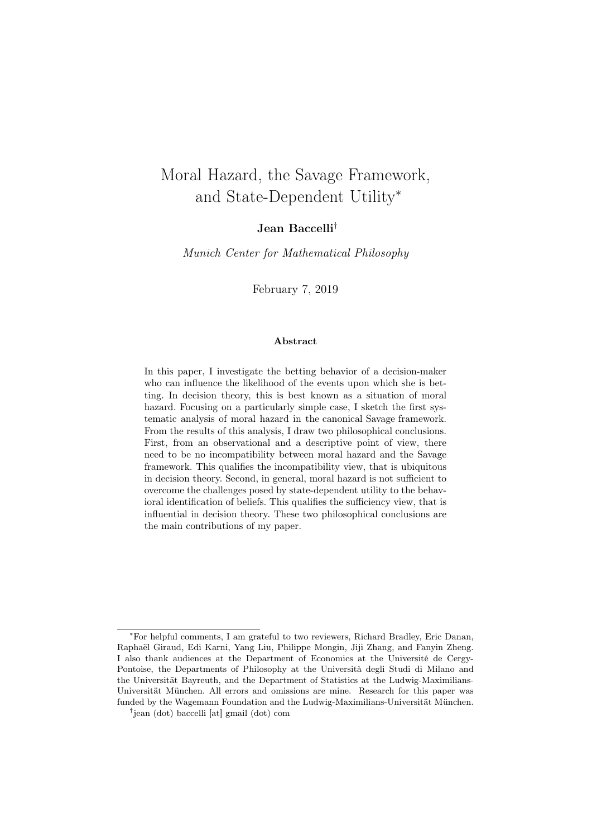# <span id="page-0-0"></span>Moral Hazard, the Savage Framework, and State-Dependent Utility<sup>∗</sup>

#### Jean Baccelli†

Munich Center for Mathematical Philosophy

February 7, 2019

#### Abstract

In this paper, I investigate the betting behavior of a decision-maker who can influence the likelihood of the events upon which she is betting. In decision theory, this is best known as a situation of moral hazard. Focusing on a particularly simple case, I sketch the first systematic analysis of moral hazard in the canonical Savage framework. From the results of this analysis, I draw two philosophical conclusions. First, from an observational and a descriptive point of view, there need to be no incompatibility between moral hazard and the Savage framework. This qualifies the incompatibility view, that is ubiquitous in decision theory. Second, in general, moral hazard is not sufficient to overcome the challenges posed by state-dependent utility to the behavioral identification of beliefs. This qualifies the sufficiency view, that is influential in decision theory. These two philosophical conclusions are the main contributions of my paper.

<sup>∗</sup>For helpful comments, I am grateful to two reviewers, Richard Bradley, Eric Danan, Raphaël Giraud, Edi Karni, Yang Liu, Philippe Mongin, Jiji Zhang, and Fanyin Zheng. I also thank audiences at the Department of Economics at the Université de Cergy-Pontoise, the Departments of Philosophy at the Università degli Studi di Milano and the Universität Bayreuth, and the Department of Statistics at the Ludwig-Maximilians-Universität München. All errors and omissions are mine. Research for this paper was funded by the Wagemann Foundation and the Ludwig-Maximilians-Universität München.

<sup>†</sup> jean (dot) baccelli [at] gmail (dot) com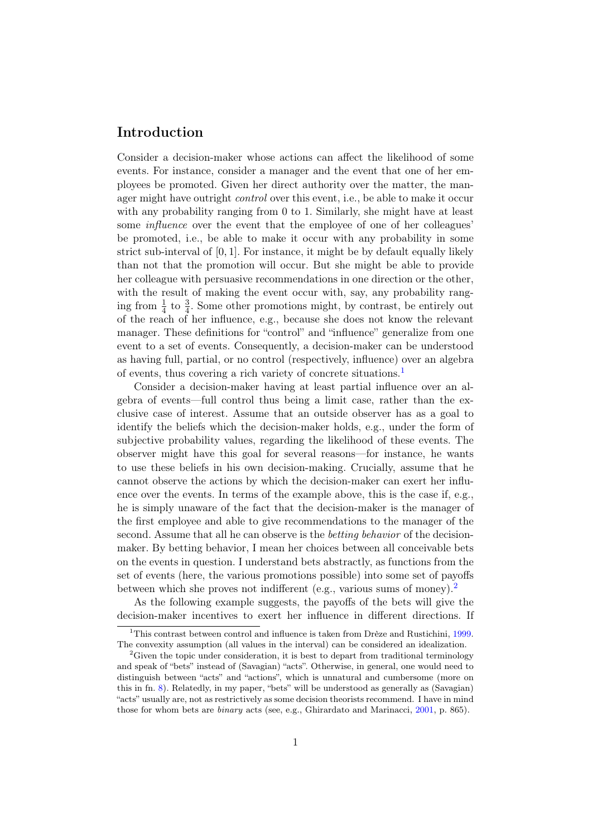#### Introduction

Consider a decision-maker whose actions can affect the likelihood of some events. For instance, consider a manager and the event that one of her employees be promoted. Given her direct authority over the matter, the manager might have outright control over this event, i.e., be able to make it occur with any probability ranging from 0 to 1. Similarly, she might have at least some influence over the event that the employee of one of her colleagues' be promoted, i.e., be able to make it occur with any probability in some strict sub-interval of  $[0, 1]$ . For instance, it might be by default equally likely than not that the promotion will occur. But she might be able to provide her colleague with persuasive recommendations in one direction or the other, with the result of making the event occur with, say, any probability ranging from  $\frac{1}{4}$  to  $\frac{3}{4}$ . Some other promotions might, by contrast, be entirely out of the reach of her influence, e.g., because she does not know the relevant manager. These definitions for "control" and "influence" generalize from one event to a set of events. Consequently, a decision-maker can be understood as having full, partial, or no control (respectively, influence) over an algebra of events, thus covering a rich variety of concrete situations.[1](#page-1-0)

Consider a decision-maker having at least partial influence over an algebra of events—full control thus being a limit case, rather than the exclusive case of interest. Assume that an outside observer has as a goal to identify the beliefs which the decision-maker holds, e.g., under the form of subjective probability values, regarding the likelihood of these events. The observer might have this goal for several reasons—for instance, he wants to use these beliefs in his own decision-making. Crucially, assume that he cannot observe the actions by which the decision-maker can exert her influence over the events. In terms of the example above, this is the case if, e.g., he is simply unaware of the fact that the decision-maker is the manager of the first employee and able to give recommendations to the manager of the second. Assume that all he can observe is the betting behavior of the decisionmaker. By betting behavior, I mean her choices between all conceivable bets on the events in question. I understand bets abstractly, as functions from the set of events (here, the various promotions possible) into some set of payoffs between which she proves not indifferent (e.g., various sums of money).[2](#page-1-1)

As the following example suggests, the payoffs of the bets will give the decision-maker incentives to exert her influence in different directions. If

<span id="page-1-0"></span><sup>&</sup>lt;sup>1</sup>This contrast between control and influence is taken from Drèze and Rustichini, [1999.](#page-21-0) The convexity assumption (all values in the interval) can be considered an idealization.

<span id="page-1-1"></span><sup>&</sup>lt;sup>2</sup>Given the topic under consideration, it is best to depart from traditional terminology and speak of "bets" instead of (Savagian) "acts". Otherwise, in general, one would need to distinguish between "acts" and "actions", which is unnatural and cumbersome (more on this in fn. [8\)](#page-6-0). Relatedly, in my paper, "bets" will be understood as generally as (Savagian) "acts" usually are, not as restrictively as some decision theorists recommend. I have in mind those for whom bets are binary acts (see, e.g., Ghirardato and Marinacci, [2001,](#page-22-0) p. 865).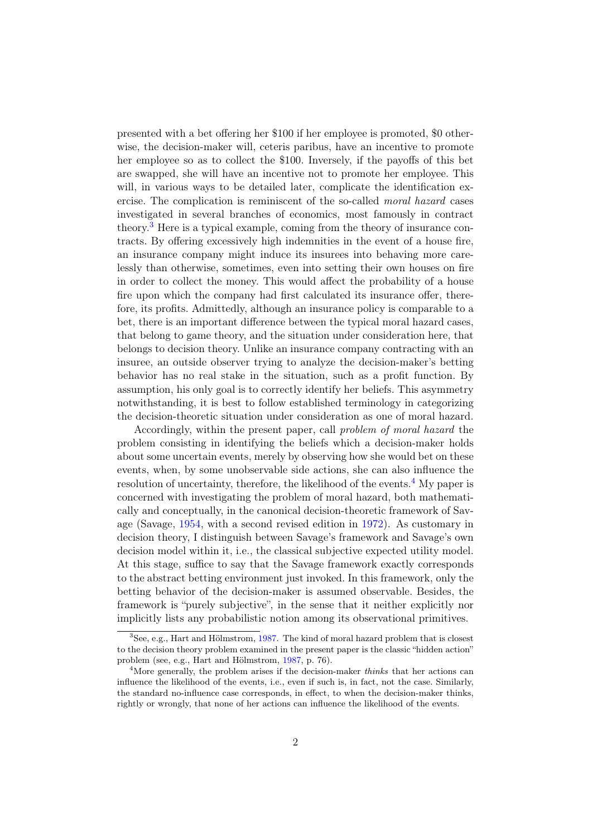presented with a bet offering her \$100 if her employee is promoted, \$0 otherwise, the decision-maker will, ceteris paribus, have an incentive to promote her employee so as to collect the \$100. Inversely, if the payoffs of this bet are swapped, she will have an incentive not to promote her employee. This will, in various ways to be detailed later, complicate the identification exercise. The complication is reminiscent of the so-called moral hazard cases investigated in several branches of economics, most famously in contract theory.[3](#page-2-0) Here is a typical example, coming from the theory of insurance contracts. By offering excessively high indemnities in the event of a house fire, an insurance company might induce its insurees into behaving more carelessly than otherwise, sometimes, even into setting their own houses on fire in order to collect the money. This would affect the probability of a house fire upon which the company had first calculated its insurance offer, therefore, its profits. Admittedly, although an insurance policy is comparable to a bet, there is an important difference between the typical moral hazard cases, that belong to game theory, and the situation under consideration here, that belongs to decision theory. Unlike an insurance company contracting with an insuree, an outside observer trying to analyze the decision-maker's betting behavior has no real stake in the situation, such as a profit function. By assumption, his only goal is to correctly identify her beliefs. This asymmetry notwithstanding, it is best to follow established terminology in categorizing the decision-theoretic situation under consideration as one of moral hazard.

Accordingly, within the present paper, call problem of moral hazard the problem consisting in identifying the beliefs which a decision-maker holds about some uncertain events, merely by observing how she would bet on these events, when, by some unobservable side actions, she can also influence the resolution of uncertainty, therefore, the likelihood of the events.<sup>[4](#page-2-1)</sup> My paper is concerned with investigating the problem of moral hazard, both mathematically and conceptually, in the canonical decision-theoretic framework of Savage (Savage, [1954,](#page-23-0) with a second revised edition in [1972\)](#page-23-1). As customary in decision theory, I distinguish between Savage's framework and Savage's own decision model within it, i.e., the classical subjective expected utility model. At this stage, suffice to say that the Savage framework exactly corresponds to the abstract betting environment just invoked. In this framework, only the betting behavior of the decision-maker is assumed observable. Besides, the framework is "purely subjective", in the sense that it neither explicitly nor implicitly lists any probabilistic notion among its observational primitives.

<span id="page-2-0"></span><sup>&</sup>lt;sup>3</sup>See, e.g., Hart and Hölmstrom, [1987.](#page-22-1) The kind of moral hazard problem that is closest to the decision theory problem examined in the present paper is the classic "hidden action" problem (see, e.g., Hart and Hölmstrom, [1987,](#page-22-1) p. 76).

<span id="page-2-1"></span><sup>&</sup>lt;sup>4</sup>More generally, the problem arises if the decision-maker *thinks* that her actions can influence the likelihood of the events, i.e., even if such is, in fact, not the case. Similarly, the standard no-influence case corresponds, in effect, to when the decision-maker thinks, rightly or wrongly, that none of her actions can influence the likelihood of the events.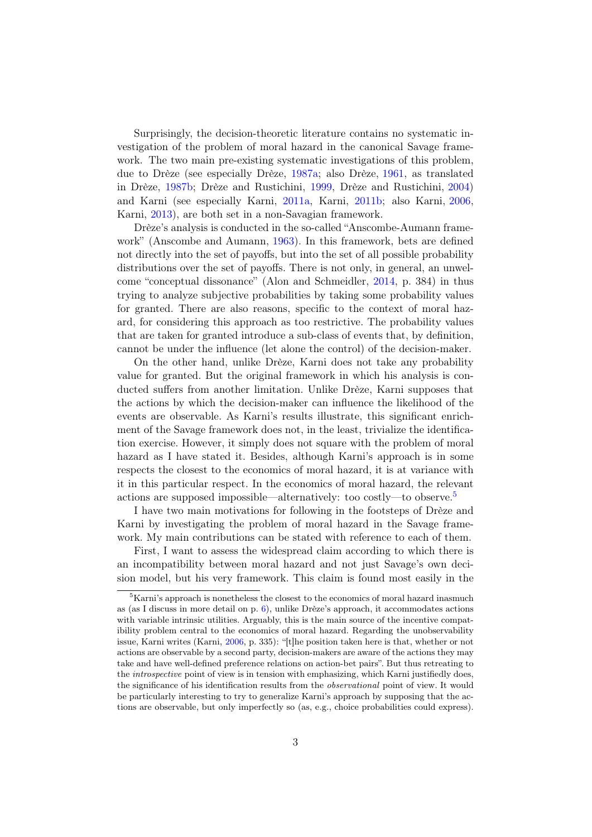Surprisingly, the decision-theoretic literature contains no systematic investigation of the problem of moral hazard in the canonical Savage framework. The two main pre-existing systematic investigations of this problem, due to Drèze (see especially Drèze, [1987a;](#page-21-1) also Drèze, [1961,](#page-21-2) as translated in Drèze, [1987b;](#page-21-3) Drèze and Rustichini, [1999,](#page-21-0) Drèze and Rustichini, [2004\)](#page-21-4) and Karni (see especially Karni, [2011a,](#page-23-2) Karni, [2011b;](#page-23-3) also Karni, [2006,](#page-22-2) Karni, [2013\)](#page-23-4), are both set in a non-Savagian framework.

Drèze's analysis is conducted in the so-called "Anscombe-Aumann framework" (Anscombe and Aumann, [1963\)](#page-21-5). In this framework, bets are defined not directly into the set of payoffs, but into the set of all possible probability distributions over the set of payoffs. There is not only, in general, an unwelcome "conceptual dissonance" (Alon and Schmeidler, [2014,](#page-21-6) p. 384) in thus trying to analyze subjective probabilities by taking some probability values for granted. There are also reasons, specific to the context of moral hazard, for considering this approach as too restrictive. The probability values that are taken for granted introduce a sub-class of events that, by definition, cannot be under the influence (let alone the control) of the decision-maker.

On the other hand, unlike Drèze, Karni does not take any probability value for granted. But the original framework in which his analysis is conducted suffers from another limitation. Unlike Drèze, Karni supposes that the actions by which the decision-maker can influence the likelihood of the events are observable. As Karni's results illustrate, this significant enrichment of the Savage framework does not, in the least, trivialize the identification exercise. However, it simply does not square with the problem of moral hazard as I have stated it. Besides, although Karni's approach is in some respects the closest to the economics of moral hazard, it is at variance with it in this particular respect. In the economics of moral hazard, the relevant actions are supposed impossible—alternatively: too costly—to observe.[5](#page-3-0)

I have two main motivations for following in the footsteps of Drèze and Karni by investigating the problem of moral hazard in the Savage framework. My main contributions can be stated with reference to each of them.

First, I want to assess the widespread claim according to which there is an incompatibility between moral hazard and not just Savage's own decision model, but his very framework. This claim is found most easily in the

<span id="page-3-0"></span> ${}^{5}$ Karni's approach is nonetheless the closest to the economics of moral hazard inasmuch as (as I discuss in more detail on p.  $6$ ), unlike Drèze's approach, it accommodates actions with variable intrinsic utilities. Arguably, this is the main source of the incentive compatibility problem central to the economics of moral hazard. Regarding the unobservability issue, Karni writes (Karni, [2006,](#page-22-2) p. 335): "[t]he position taken here is that, whether or not actions are observable by a second party, decision-makers are aware of the actions they may take and have well-defined preference relations on action-bet pairs". But thus retreating to the introspective point of view is in tension with emphasizing, which Karni justifiedly does, the significance of his identification results from the observational point of view. It would be particularly interesting to try to generalize Karni's approach by supposing that the actions are observable, but only imperfectly so (as, e.g., choice probabilities could express).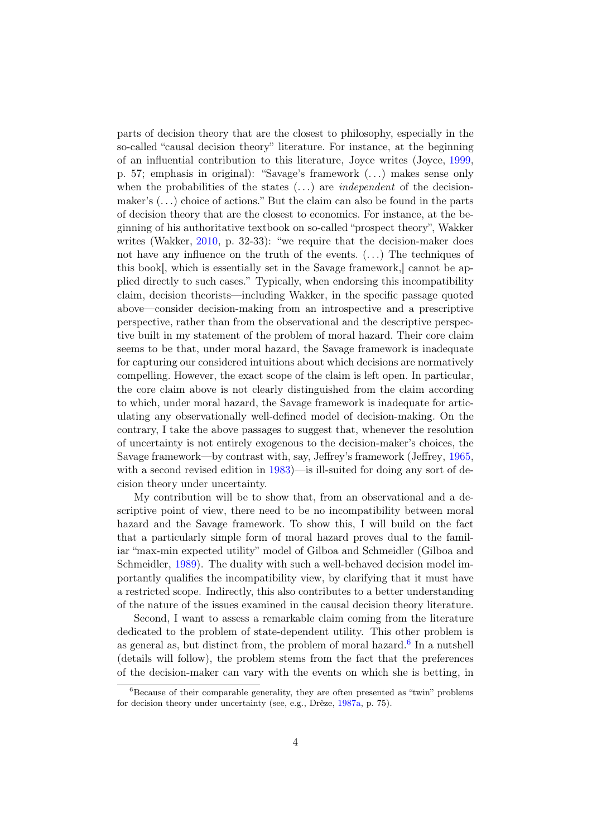<span id="page-4-1"></span>parts of decision theory that are the closest to philosophy, especially in the so-called "causal decision theory" literature. For instance, at the beginning of an influential contribution to this literature, Joyce writes (Joyce, [1999,](#page-22-3) p. 57; emphasis in original): "Savage's framework (. . .) makes sense only when the probabilities of the states  $(\ldots)$  are *independent* of the decisionmaker's (. . .) choice of actions." But the claim can also be found in the parts of decision theory that are the closest to economics. For instance, at the beginning of his authoritative textbook on so-called "prospect theory", Wakker writes (Wakker, [2010,](#page-23-5) p. 32-33): "we require that the decision-maker does not have any influence on the truth of the events. (. . .) The techniques of this book[, which is essentially set in the Savage framework,] cannot be applied directly to such cases." Typically, when endorsing this incompatibility claim, decision theorists—including Wakker, in the specific passage quoted above—consider decision-making from an introspective and a prescriptive perspective, rather than from the observational and the descriptive perspective built in my statement of the problem of moral hazard. Their core claim seems to be that, under moral hazard, the Savage framework is inadequate for capturing our considered intuitions about which decisions are normatively compelling. However, the exact scope of the claim is left open. In particular, the core claim above is not clearly distinguished from the claim according to which, under moral hazard, the Savage framework is inadequate for articulating any observationally well-defined model of decision-making. On the contrary, I take the above passages to suggest that, whenever the resolution of uncertainty is not entirely exogenous to the decision-maker's choices, the Savage framework—by contrast with, say, Jeffrey's framework (Jeffrey, [1965,](#page-22-4) with a second revised edition in [1983\)](#page-22-5)—is ill-suited for doing any sort of decision theory under uncertainty.

My contribution will be to show that, from an observational and a descriptive point of view, there need to be no incompatibility between moral hazard and the Savage framework. To show this, I will build on the fact that a particularly simple form of moral hazard proves dual to the familiar "max-min expected utility" model of Gilboa and Schmeidler (Gilboa and Schmeidler, [1989\)](#page-22-6). The duality with such a well-behaved decision model importantly qualifies the incompatibility view, by clarifying that it must have a restricted scope. Indirectly, this also contributes to a better understanding of the nature of the issues examined in the causal decision theory literature.

Second, I want to assess a remarkable claim coming from the literature dedicated to the problem of state-dependent utility. This other problem is as general as, but distinct from, the problem of moral hazard.<sup>[6](#page-4-0)</sup> In a nutshell (details will follow), the problem stems from the fact that the preferences of the decision-maker can vary with the events on which she is betting, in

<span id="page-4-0"></span> ${}^{6}$ Because of their comparable generality, they are often presented as "twin" problems for decision theory under uncertainty (see, e.g., Drèze, [1987a,](#page-21-1) p. 75).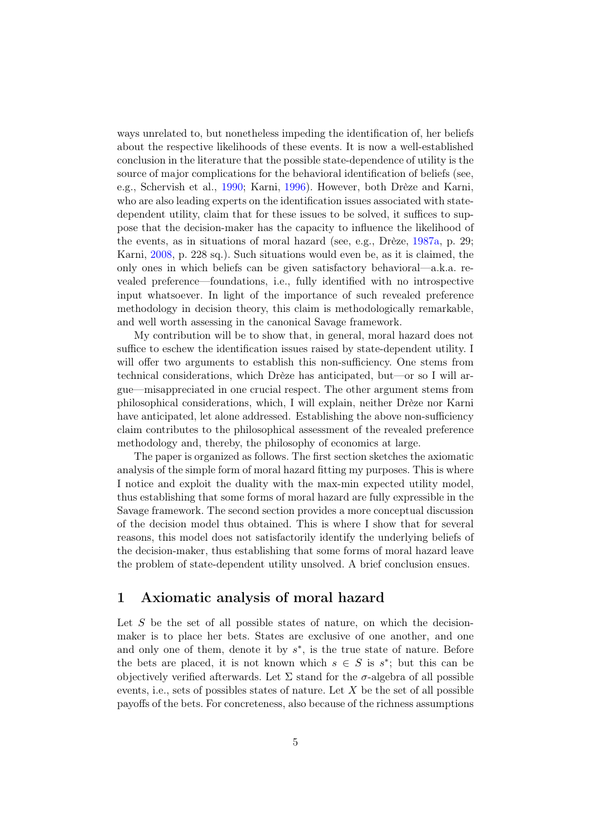ways unrelated to, but nonetheless impeding the identification of, her beliefs about the respective likelihoods of these events. It is now a well-established conclusion in the literature that the possible state-dependence of utility is the source of major complications for the behavioral identification of beliefs (see, e.g., Schervish et al., [1990;](#page-23-6) Karni, [1996\)](#page-22-7). However, both Drèze and Karni, who are also leading experts on the identification issues associated with statedependent utility, claim that for these issues to be solved, it suffices to suppose that the decision-maker has the capacity to influence the likelihood of the events, as in situations of moral hazard (see, e.g., Drèze, [1987a,](#page-21-1) p. 29; Karni, [2008,](#page-23-7) p. 228 sq.). Such situations would even be, as it is claimed, the only ones in which beliefs can be given satisfactory behavioral—a.k.a. revealed preference—foundations, i.e., fully identified with no introspective input whatsoever. In light of the importance of such revealed preference methodology in decision theory, this claim is methodologically remarkable, and well worth assessing in the canonical Savage framework.

My contribution will be to show that, in general, moral hazard does not suffice to eschew the identification issues raised by state-dependent utility. I will offer two arguments to establish this non-sufficiency. One stems from technical considerations, which Drèze has anticipated, but—or so I will argue—misappreciated in one crucial respect. The other argument stems from philosophical considerations, which, I will explain, neither Drèze nor Karni have anticipated, let alone addressed. Establishing the above non-sufficiency claim contributes to the philosophical assessment of the revealed preference methodology and, thereby, the philosophy of economics at large.

The paper is organized as follows. The first section sketches the axiomatic analysis of the simple form of moral hazard fitting my purposes. This is where I notice and exploit the duality with the max-min expected utility model, thus establishing that some forms of moral hazard are fully expressible in the Savage framework. The second section provides a more conceptual discussion of the decision model thus obtained. This is where I show that for several reasons, this model does not satisfactorily identify the underlying beliefs of the decision-maker, thus establishing that some forms of moral hazard leave the problem of state-dependent utility unsolved. A brief conclusion ensues.

## 1 Axiomatic analysis of moral hazard

Let  $S$  be the set of all possible states of nature, on which the decisionmaker is to place her bets. States are exclusive of one another, and one and only one of them, denote it by  $s^*$ , is the true state of nature. Before the bets are placed, it is not known which  $s \in S$  is  $s^*$ ; but this can be objectively verified afterwards. Let  $\Sigma$  stand for the  $\sigma$ -algebra of all possible events, i.e., sets of possibles states of nature. Let  $X$  be the set of all possible payoffs of the bets. For concreteness, also because of the richness assumptions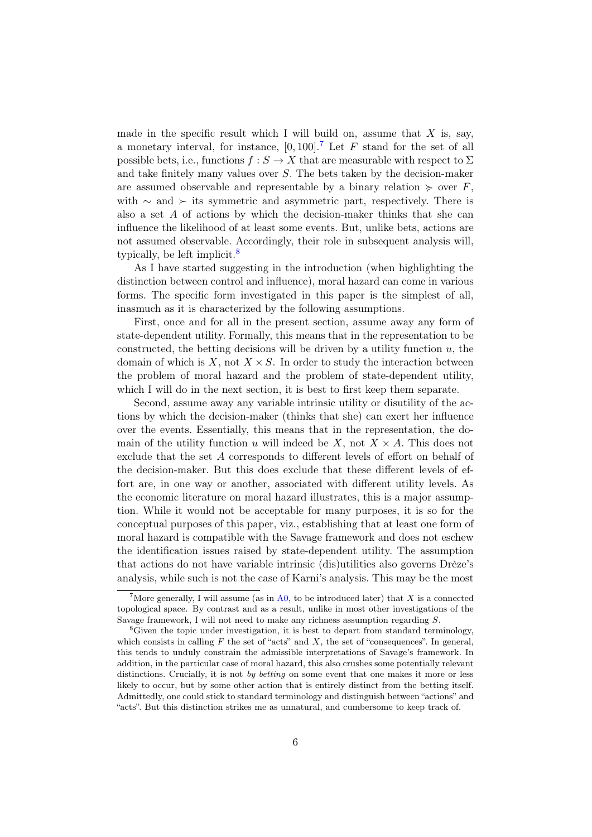made in the specific result which I will build on, assume that  $X$  is, say, a monetary interval, for instance,  $[0, 100]$ .<sup>[7](#page-6-2)</sup> Let F stand for the set of all possible bets, i.e., functions  $f : S \to X$  that are measurable with respect to  $\Sigma$ and take finitely many values over S. The bets taken by the decision-maker are assumed observable and representable by a binary relation  $\succeq$  over F, with  $\sim$  and  $\succ$  its symmetric and asymmetric part, respectively. There is also a set A of actions by which the decision-maker thinks that she can influence the likelihood of at least some events. But, unlike bets, actions are not assumed observable. Accordingly, their role in subsequent analysis will, typically, be left implicit.<sup>[8](#page-6-0)</sup>

As I have started suggesting in the introduction (when highlighting the distinction between control and influence), moral hazard can come in various forms. The specific form investigated in this paper is the simplest of all, inasmuch as it is characterized by the following assumptions.

First, once and for all in the present section, assume away any form of state-dependent utility. Formally, this means that in the representation to be constructed, the betting decisions will be driven by a utility function  $u$ , the domain of which is X, not  $X \times S$ . In order to study the interaction between the problem of moral hazard and the problem of state-dependent utility, which I will do in the next section, it is best to first keep them separate.

<span id="page-6-1"></span>Second, assume away any variable intrinsic utility or disutility of the actions by which the decision-maker (thinks that she) can exert her influence over the events. Essentially, this means that in the representation, the domain of the utility function u will indeed be X, not  $X \times A$ . This does not exclude that the set A corresponds to different levels of effort on behalf of the decision-maker. But this does exclude that these different levels of effort are, in one way or another, associated with different utility levels. As the economic literature on moral hazard illustrates, this is a major assumption. While it would not be acceptable for many purposes, it is so for the conceptual purposes of this paper, viz., establishing that at least one form of moral hazard is compatible with the Savage framework and does not eschew the identification issues raised by state-dependent utility. The assumption that actions do not have variable intrinsic (dis)utilities also governs Drèze's analysis, while such is not the case of Karni's analysis. This may be the most

<span id="page-6-2"></span><sup>&</sup>lt;sup>7</sup>More generally, I will assume (as in  $A0$ , to be introduced later) that X is a connected topological space. By contrast and as a result, unlike in most other investigations of the Savage framework, I will not need to make any richness assumption regarding S.

<span id="page-6-0"></span><sup>&</sup>lt;sup>8</sup>Given the topic under investigation, it is best to depart from standard terminology, which consists in calling  $F$  the set of "acts" and  $X$ , the set of "consequences". In general, this tends to unduly constrain the admissible interpretations of Savage's framework. In addition, in the particular case of moral hazard, this also crushes some potentially relevant distinctions. Crucially, it is not by betting on some event that one makes it more or less likely to occur, but by some other action that is entirely distinct from the betting itself. Admittedly, one could stick to standard terminology and distinguish between "actions" and "acts". But this distinction strikes me as unnatural, and cumbersome to keep track of.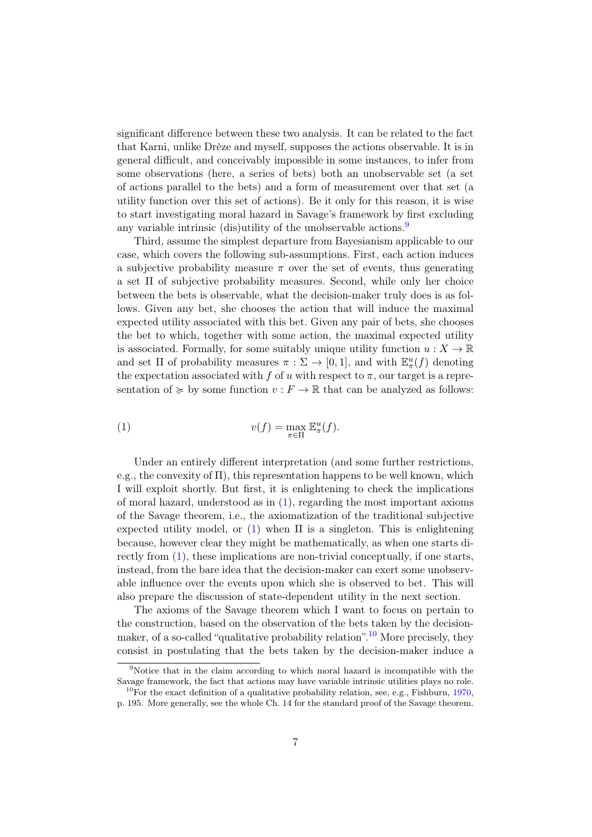significant difference between these two analysis. It can be related to the fact that Karni, unlike Drèze and myself, supposes the actions observable. It is in general difficult, and conceivably impossible in some instances, to infer from some observations (here, a series of bets) both an unobservable set (a set of actions parallel to the bets) and a form of measurement over that set (a utility function over this set of actions). Be it only for this reason, it is wise to start investigating moral hazard in Savage's framework by first excluding any variable intrinsic (dis)utility of the unobservable actions.<sup>[9](#page-7-0)</sup>

Third, assume the simplest departure from Bayesianism applicable to our case, which covers the following sub-assumptions. First, each action induces a subjective probability measure  $\pi$  over the set of events, thus generating a set  $\Pi$  of subjective probability measures. Second, while only her choice between the bets is observable, what the decision-maker truly does is as follows. Given any bet, she chooses the action that will induce the maximal expected utility associated with this bet. Given any pair of bets, she chooses the bet to which, together with some action, the maximal expected utility is associated. Formally, for some suitably unique utility function  $u: X \to \mathbb{R}$ and set  $\Pi$  of probability measures  $\pi : \Sigma \to [0,1]$ , and with  $\mathbb{E}^u_\pi(f)$  denoting the expectation associated with f of u with respect to  $\pi$ , our target is a representation of  $\succcurlyeq$  by some function  $v : F \to \mathbb{R}$  that can be analyzed as follows:

<span id="page-7-1"></span>(1) 
$$
v(f) = \max_{\pi \in \Pi} \mathbb{E}^u_{\pi}(f).
$$

Under an entirely different interpretation (and some further restrictions, e.g., the convexity of  $\Pi$ ), this representation happens to be well known, which I will exploit shortly. But first, it is enlightening to check the implications of moral hazard, understood as in [\(1\)](#page-7-1), regarding the most important axioms of the Savage theorem, i.e., the axiomatization of the traditional subjective expected utility model, or [\(1\)](#page-7-1) when  $\Pi$  is a singleton. This is enlightening because, however clear they might be mathematically, as when one starts directly from [\(1\)](#page-7-1), these implications are non-trivial conceptually, if one starts, instead, from the bare idea that the decision-maker can exert some unobservable influence over the events upon which she is observed to bet. This will also prepare the discussion of state-dependent utility in the next section.

The axioms of the Savage theorem which I want to focus on pertain to the construction, based on the observation of the bets taken by the decision-maker, of a so-called "qualitative probability relation".<sup>[10](#page-7-2)</sup> More precisely, they consist in postulating that the bets taken by the decision-maker induce a

<span id="page-7-0"></span><sup>&</sup>lt;sup>9</sup>Notice that in the claim according to which moral hazard is incompatible with the Savage framework, the fact that actions may have variable intrinsic utilities plays no role.

<span id="page-7-2"></span><sup>&</sup>lt;sup>10</sup>For the exact definition of a qualitative probability relation, see, e.g., Fishburn, [1970,](#page-22-8) p. 195. More generally, see the whole Ch. 14 for the standard proof of the Savage theorem.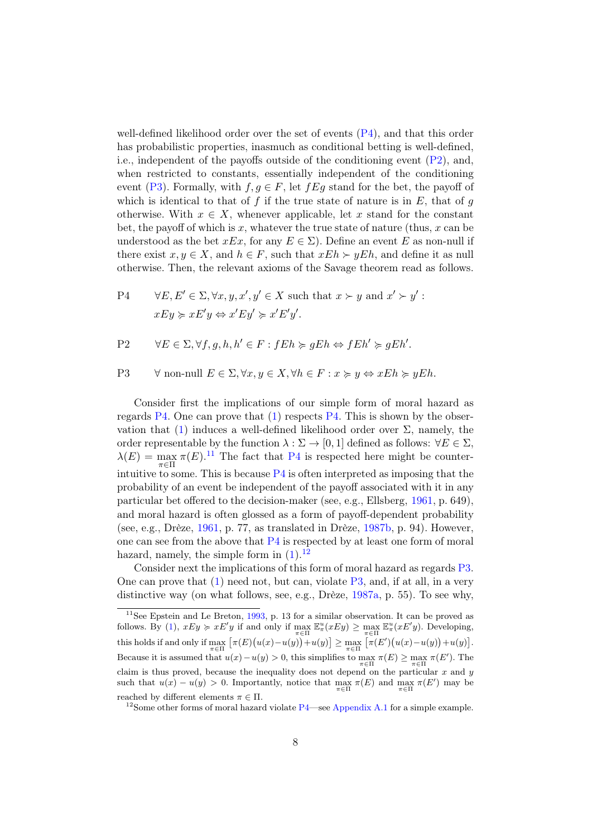well-defined likelihood order over the set of events  $(P4)$ , and that this order has probabilistic properties, inasmuch as conditional betting is well-defined, i.e., independent of the payoffs outside of the conditioning event [\(P2\)](#page-8-1), and, when restricted to constants, essentially independent of the conditioning event [\(P3\)](#page-8-2). Formally, with  $f, g \in F$ , let  $fEg$  stand for the bet, the payoff of which is identical to that of f if the true state of nature is in  $E$ , that of g otherwise. With  $x \in X$ , whenever applicable, let x stand for the constant bet, the payoff of which is x, whatever the true state of nature (thus, x can be understood as the bet  $xEx$ , for any  $E \in \Sigma$ ). Define an event E as non-null if there exist  $x, y \in X$ , and  $h \in F$ , such that  $xEh \succ yEh$ , and define it as null otherwise. Then, the relevant axioms of the Savage theorem read as follows.

<span id="page-8-5"></span><span id="page-8-0"></span>P4 
$$
\forall E, E' \in \Sigma, \forall x, y, x', y' \in X \text{ such that } x \succ y \text{ and } x' \succ y':
$$

$$
xEy \succcurlyeq xE'y \Leftrightarrow x'Ey' \succcurlyeq x'E'y'.
$$

<span id="page-8-1"></span>
$$
P2 \quad \forall E \in \Sigma, \forall f, g, h, h' \in F : fEh \succcurlyeq gEh \Leftrightarrow fEh' \succcurlyeq gEh'.
$$

<span id="page-8-2"></span>P3 
$$
\forall
$$
 non-null  $E \in \Sigma$ ,  $\forall x, y \in X$ ,  $\forall h \in F : x \succcurlyeq y \Leftrightarrow xEh \succcurlyeq yEh$ .

Consider first the implications of our simple form of moral hazard as regards [P4.](#page-8-0) One can prove that  $(1)$  respects P4. This is shown by the observation that  $(1)$  induces a well-defined likelihood order over  $\Sigma$ , namely, the order representable by the function  $\lambda : \Sigma \to [0, 1]$  defined as follows:  $\forall E \in \Sigma$ ,  $\lambda(E) = \max_{\pi \in \Pi} \pi(E).$ <sup>[11](#page-8-3)</sup> The fact that [P4](#page-8-0) is respected here might be counterintuitive to some. This is because  $P4$  is often interpreted as imposing that the probability of an event be independent of the payoff associated with it in any particular bet offered to the decision-maker (see, e.g., Ellsberg, [1961,](#page-21-7) p. 649), and moral hazard is often glossed as a form of payoff-dependent probability (see, e.g., Drèze, [1961,](#page-21-2) p. 77, as translated in Drèze, [1987b,](#page-21-3) p. 94). However, one can see from the above that [P4](#page-8-0) is respected by at least one form of moral hazard, namely, the simple form in  $(1).<sup>12</sup>$  $(1).<sup>12</sup>$  $(1).<sup>12</sup>$  $(1).<sup>12</sup>$ 

Consider next the implications of this form of moral hazard as regards [P3.](#page-8-2) One can prove that  $(1)$  need not, but can, violate  $P3$ , and, if at all, in a very distinctive way (on what follows, see, e.g., Drèze, [1987a,](#page-21-1) p. 55). To see why,

<span id="page-8-3"></span><sup>&</sup>lt;sup>11</sup>See Epstein and Le Breton,  $\overline{1993}$ , p. 13 for a similar observation. It can be proved as follows. By [\(1\)](#page-7-1),  $xEy \geq xE'y$  if and only if  $\max_{\pi \in \Pi} \mathbb{E}_{\pi}^u(xEy) \geq \max_{\pi \in \Pi} \mathbb{E}_{\pi}^u(xE'y)$ . Developing, this holds if and only if  $\max_{\pi \in \Pi} [\pi(E)(u(x) - u(y)) + u(y)] \ge \max_{\pi \in \Pi} [\pi(E')(u(x) - u(y)) + u(y)].$ Because it is assumed that  $u(x) - u(y) > 0$ , this simplifies to  $\max_{\pi \in \Pi} \pi(E) \ge \max_{\pi \in \Pi} \pi(E')$ . The claim is thus proved, because the inequality does not depend on the particular  $x$  and  $y$ such that  $u(x) - u(y) > 0$ . Importantly, notice that  $\max_{\pi \in \Pi} \pi(E)$  and  $\max_{\pi \in \Pi} \pi(E')$  may be reached by different elements  $\pi \in \Pi$ .

<span id="page-8-4"></span><sup>&</sup>lt;sup>12</sup>Some other forms of moral hazard violate  $P4$ —see [Appendix A.1](#page-19-0) for a simple example.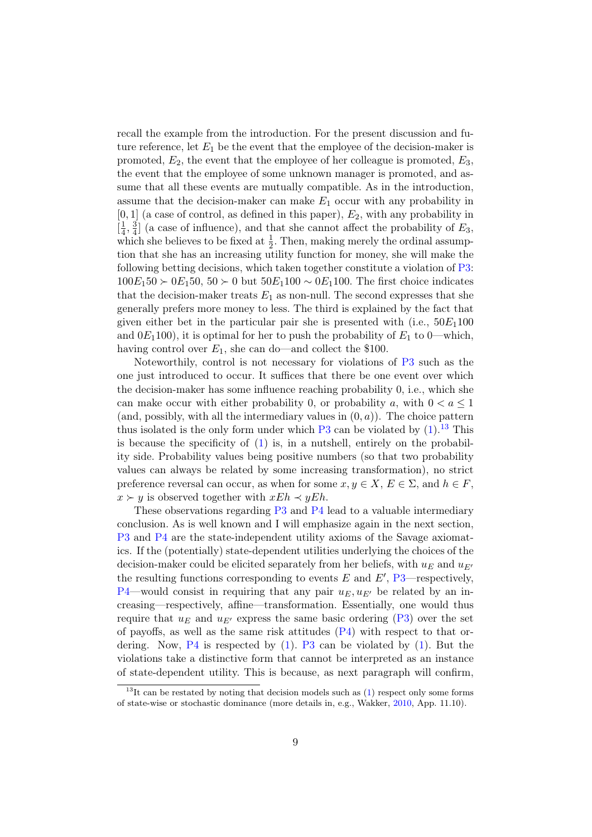<span id="page-9-1"></span>recall the example from the introduction. For the present discussion and future reference, let  $E_1$  be the event that the employee of the decision-maker is promoted,  $E_2$ , the event that the employee of her colleague is promoted,  $E_3$ , the event that the employee of some unknown manager is promoted, and assume that all these events are mutually compatible. As in the introduction, assume that the decision-maker can make  $E_1$  occur with any probability in  $[0, 1]$  (a case of control, as defined in this paper),  $E_2$ , with any probability in  $\left[\frac{1}{4}\right]$  $\frac{1}{4}, \frac{3}{4}$  $\frac{3}{4}$  (a case of influence), and that she cannot affect the probability of  $E_3$ , which she believes to be fixed at  $\frac{1}{2}$ . Then, making merely the ordinal assumption that she has an increasing utility function for money, she will make the following betting decisions, which taken together constitute a violation of [P3:](#page-8-2)  $100E_150 \succ 0E_150$ ,  $50 \succ 0$  but  $50E_1100 \sim 0E_1100$ . The first choice indicates that the decision-maker treats  $E_1$  as non-null. The second expresses that she generally prefers more money to less. The third is explained by the fact that given either bet in the particular pair she is presented with (i.e.,  $50E_1100$ ) and  $0E_1100$ , it is optimal for her to push the probability of  $E_1$  to 0—which, having control over  $E_1$ , she can do—and collect the \$100.

<span id="page-9-3"></span>Noteworthily, control is not necessary for violations of [P3](#page-8-2) such as the one just introduced to occur. It suffices that there be one event over which the decision-maker has some influence reaching probability 0, i.e., which she can make occur with either probability 0, or probability a, with  $0 < a \leq 1$ (and, possibly, with all the intermediary values in  $(0, a)$ ). The choice pattern thus isolated is the only form under which  $P3$  can be violated by  $(1).^{13}$  $(1).^{13}$  $(1).^{13}$  $(1).^{13}$  This is because the specificity of [\(1\)](#page-7-1) is, in a nutshell, entirely on the probability side. Probability values being positive numbers (so that two probability values can always be related by some increasing transformation), no strict preference reversal can occur, as when for some  $x, y \in X, E \in \Sigma$ , and  $h \in F$ ,  $x \succ y$  is observed together with  $xEh \prec yEh$ .

<span id="page-9-2"></span>These observations regarding [P3](#page-8-2) and [P4](#page-8-0) lead to a valuable intermediary conclusion. As is well known and I will emphasize again in the next section, [P3](#page-8-2) and [P4](#page-8-0) are the state-independent utility axioms of the Savage axiomatics. If the (potentially) state-dependent utilities underlying the choices of the decision-maker could be elicited separately from her beliefs, with  $u_E$  and  $u_{E'}$ the resulting functions corresponding to events  $E$  and  $E'$ , [P3—](#page-8-2)respectively, [P4—](#page-8-0)would consist in requiring that any pair  $u_E, u_{E'}$  be related by an increasing—respectively, affine—transformation. Essentially, one would thus require that  $u_E$  and  $u_{E'}$  express the same basic ordering [\(P3\)](#page-8-2) over the set of payoffs, as well as the same risk attitudes  $(P4)$  with respect to that ordering. Now,  $P4$  is respected by [\(1\)](#page-7-1). [P3](#page-8-2) can be violated by (1). But the violations take a distinctive form that cannot be interpreted as an instance of state-dependent utility. This is because, as next paragraph will confirm,

<span id="page-9-0"></span><sup>&</sup>lt;sup>13</sup>It can be restated by noting that decision models such as  $(1)$  respect only some forms of state-wise or stochastic dominance (more details in, e.g., Wakker, [2010,](#page-23-5) App. 11.10).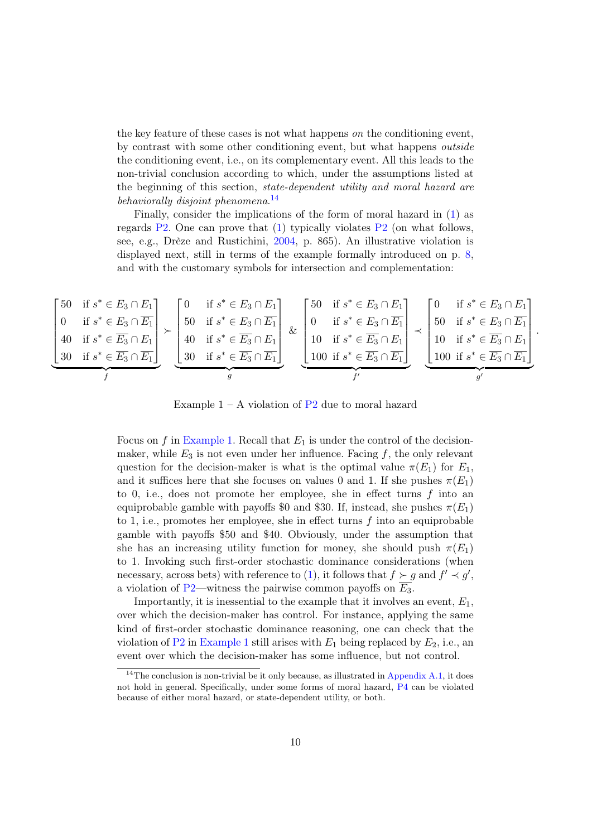the key feature of these cases is not what happens on the conditioning event, by contrast with some other conditioning event, but what happens outside the conditioning event, i.e., on its complementary event. All this leads to the non-trivial conclusion according to which, under the assumptions listed at the beginning of this section, state-dependent utility and moral hazard are behaviorally disjoint phenomena.<sup>[14](#page-10-0)</sup>

Finally, consider the implications of the form of moral hazard in [\(1\)](#page-7-1) as regards  $P2$ . One can prove that [\(1\)](#page-7-1) typically violates  $P2$  (on what follows, see, e.g., Drèze and Rustichini, [2004,](#page-21-4) p. 865). An illustrative violation is displayed next, still in terms of the example formally introduced on p. [8,](#page-9-1) and with the customary symbols for intersection and complementation:

<span id="page-10-1"></span>
$$
\begin{bmatrix}\n50 & \text{if } s^* \in E_3 \cap E_1 \\
0 & \text{if } s^* \in E_3 \cap \overline{E_1} \\
40 & \text{if } s^* \in \overline{E_3} \cap E_1\n\end{bmatrix}\n\smile\left[\n\begin{array}{c}\n0 & \text{if } s^* \in E_3 \cap E_1 \\
50 & \text{if } s^* \in E_3 \cap \overline{E_1} \\
40 & \text{if } s^* \in \overline{E_3} \cap E_1\n\end{array}\n\right]\n\smile\left[\n\begin{array}{c}\n0 & \text{if } s^* \in E_3 \cap E_1 \\
50 & \text{if } s^* \in E_3 \cap \overline{E_1} \\
40 & \text{if } s^* \in \overline{E_3} \cap E_1\n\end{array}\n\right]\n\smile\left[\n\begin{array}{c}\n50 & \text{if } s^* \in E_3 \cap E_1 \\
0 & \text{if } s^* \in E_3 \cap \overline{E_1} \\
10 & \text{if } s^* \in \overline{E_3} \cap E_1\n\end{array}\n\right]\n\smile\left[\n\begin{array}{c}\n0 & \text{if } s^* \in E_3 \cap E_1 \\
50 & \text{if } s^* \in E_3 \cap \overline{E_1} \\
10 & \text{if } s^* \in \overline{E_3} \cap \overline{E_1}\n\end{array}\n\right]\n\smile\left[\n\begin{array}{c}\n0 & \text{if } s^* \in E_3 \cap E_1 \\
50 & \text{if } s^* \in E_3 \cap \overline{E_1} \\
100 & \text{if } s^* \in \overline{E_3} \cap \overline{E_1}\n\end{array}\n\right]\n\smile\left[\n\begin{array}{c}\n0 & \text{if } s^* \in E_3 \cap E_1 \\
10 & \text{if } s^* \in \overline{E_3} \cap \overline{E_1} \\
100 & \text{if } s^* \in \overline{E_3} \cap \overline{E_1}\n\end{array}\n\right]\n\smile\left[
$$

Example  $1 - A$  violation of  $P2$  due to moral hazard

Focus on f in [Example 1.](#page-10-1) Recall that  $E_1$  is under the control of the decisionmaker, while  $E_3$  is not even under her influence. Facing f, the only relevant question for the decision-maker is what is the optimal value  $\pi(E_1)$  for  $E_1$ , and it suffices here that she focuses on values 0 and 1. If she pushes  $\pi(E_1)$ to 0, i.e., does not promote her employee, she in effect turns  $f$  into an equiprobable gamble with payoffs \$0 and \$30. If, instead, she pushes  $\pi(E_1)$ to 1, i.e., promotes her employee, she in effect turns  $f$  into an equiprobable gamble with payoffs \$50 and \$40. Obviously, under the assumption that she has an increasing utility function for money, she should push  $\pi(E_1)$ to 1. Invoking such first-order stochastic dominance considerations (when necessary, across bets) with reference to [\(1\)](#page-7-1), it follows that  $f \succ g$  and  $f' \prec g'$ , a violation of [P2—](#page-8-1)witness the pairwise common payoffs on  $E_3$ .

Importantly, it is inessential to the example that it involves an event,  $E_1$ , over which the decision-maker has control. For instance, applying the same kind of first-order stochastic dominance reasoning, one can check that the violation of [P2](#page-8-1) in [Example 1](#page-10-1) still arises with  $E_1$  being replaced by  $E_2$ , i.e., an event over which the decision-maker has some influence, but not control.

<span id="page-10-0"></span><sup>&</sup>lt;sup>14</sup>The conclusion is non-trivial be it only because, as illustrated in [Appendix A.1,](#page-19-0) it does not hold in general. Specifically, under some forms of moral hazard, [P4](#page-8-0) can be violated because of either moral hazard, or state-dependent utility, or both.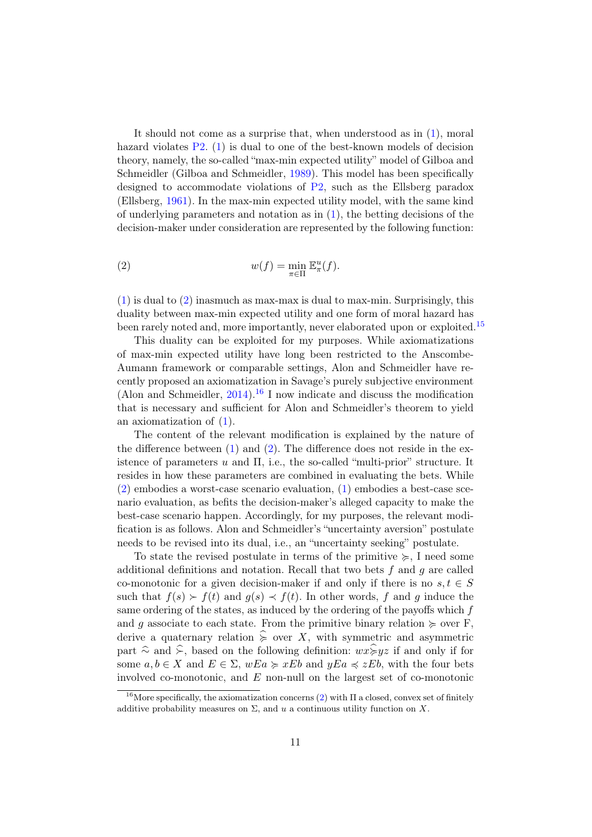It should not come as a surprise that, when understood as in [\(1\)](#page-7-1), moral hazard violates [P2.](#page-8-1) [\(1\)](#page-7-1) is dual to one of the best-known models of decision theory, namely, the so-called "max-min expected utility" model of Gilboa and Schmeidler (Gilboa and Schmeidler, [1989\)](#page-22-6). This model has been specifically designed to accommodate violations of [P2,](#page-8-1) such as the Ellsberg paradox (Ellsberg, [1961\)](#page-21-7). In the max-min expected utility model, with the same kind of underlying parameters and notation as in  $(1)$ , the betting decisions of the decision-maker under consideration are represented by the following function:

(2) 
$$
w(f) = \min_{\pi \in \Pi} \mathbb{E}^u_{\pi}(f).
$$

[\(1\)](#page-7-1) is dual to [\(2\)](#page-8-5) inasmuch as max-max is dual to max-min. Surprisingly, this duality between max-min expected utility and one form of moral hazard has been rarely noted and, more importantly, never elaborated upon or exploited.<sup>[15](#page-0-0)</sup>

This duality can be exploited for my purposes. While axiomatizations of max-min expected utility have long been restricted to the Anscombe-Aumann framework or comparable settings, Alon and Schmeidler have recently proposed an axiomatization in Savage's purely subjective environment (Alon and Schmeidler,  $2014$ ).<sup>[16](#page-11-0)</sup> I now indicate and discuss the modification that is necessary and sufficient for Alon and Schmeidler's theorem to yield an axiomatization of [\(1\)](#page-7-1).

The content of the relevant modification is explained by the nature of the difference between  $(1)$  and  $(2)$ . The difference does not reside in the existence of parameters  $u$  and  $\Pi$ , i.e., the so-called "multi-prior" structure. It resides in how these parameters are combined in evaluating the bets. While [\(2\)](#page-8-5) embodies a worst-case scenario evaluation, [\(1\)](#page-7-1) embodies a best-case scenario evaluation, as befits the decision-maker's alleged capacity to make the best-case scenario happen. Accordingly, for my purposes, the relevant modification is as follows. Alon and Schmeidler's "uncertainty aversion" postulate needs to be revised into its dual, i.e., an "uncertainty seeking" postulate.

To state the revised postulate in terms of the primitive  $\succcurlyeq$ , I need some additional definitions and notation. Recall that two bets  $f$  and  $g$  are called co-monotonic for a given decision-maker if and only if there is no  $s, t \in S$ such that  $f(s) > f(t)$  and  $g(s) \prec f(t)$ . In other words, f and g induce the same ordering of the states, as induced by the ordering of the payoffs which f and g associate to each state. From the primitive binary relation  $\succeq$  over F, derive a quaternary relation  $\hat{\succ}$  over X, with symmetric and asymmetric part  $\hat{\sim}$  and  $\hat{\succ}$ , based on the following definition:  $wx\hat{\succcurlyeq} yz$  if and only if for some  $a, b \in X$  and  $E \in \Sigma$ ,  $wEa \succcurlyeq xEb$  and  $yEa \preccurlyeq zEb$ , with the four bets involved co-monotonic, and E non-null on the largest set of co-monotonic

<span id="page-11-1"></span><span id="page-11-0"></span><sup>&</sup>lt;sup>16</sup>More specifically, the axiomatization concerns [\(2\)](#page-8-5) with  $\Pi$  a closed, convex set of finitely additive probability measures on  $\Sigma$ , and u a continuous utility function on X.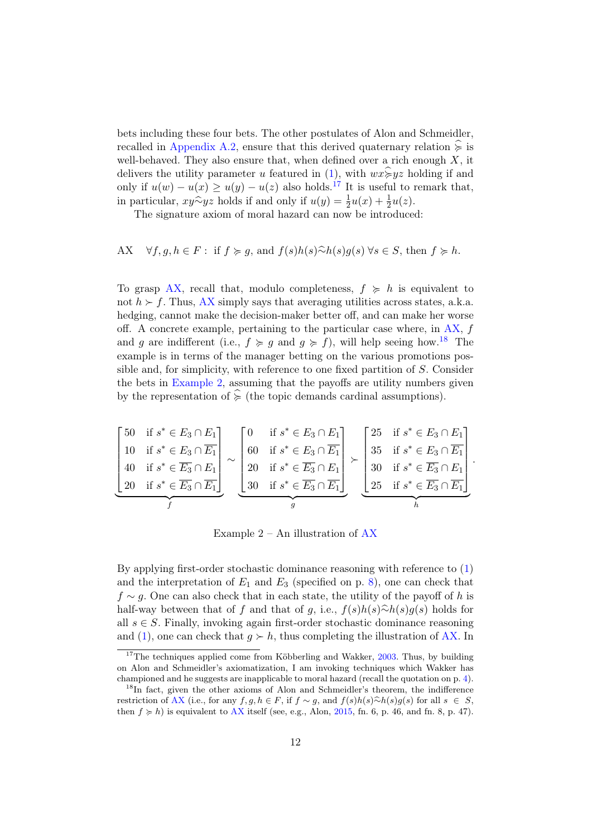bets including these four bets. The other postulates of Alon and Schmeidler, recalled in [Appendix A.2,](#page-20-1) ensure that this derived quaternary relation  $\hat{\epsilon}$  is well-behaved. They also ensure that, when defined over a rich enough  $X$ , it delivers the utility parameter u featured in [\(1\)](#page-7-1), with  $wx\hat{\succcurlyeq}yz$  holding if and only if  $u(w) - u(x) \ge u(y) - u(z)$  also holds.<sup>[17](#page-12-0)</sup> It is useful to remark that, in particular,  $xy\hat{~}yz$  holds if and only if  $u(y) = \frac{1}{2}u(x) + \frac{1}{2}u(z)$ .<br>The signature evices of moral hazard can now be introduce

The signature axiom of moral hazard can now be introduced:

<span id="page-12-1"></span>AX 
$$
\forall f, g, h \in F
$$
: if  $f \succ g$ , and  $f(s)h(s)\widehat{\sim}h(s)g(s) \forall s \in S$ , then  $f \succ h$ .

To grasp [AX,](#page-12-1) recall that, modulo completeness,  $f \ge h$  is equivalent to not  $h \succ f$ . Thus, [AX](#page-12-1) simply says that averaging utilities across states, a.k.a. hedging, cannot make the decision-maker better off, and can make her worse off. A concrete example, pertaining to the particular case where, in  $AX$ , f and g are indifferent (i.e.,  $f \geq g$  and  $g \geq f$ ), will help seeing how.<sup>[18](#page-12-2)</sup> The example is in terms of the manager betting on the various promotions possible and, for simplicity, with reference to one fixed partition of S. Consider the bets in [Example 2,](#page-12-3) assuming that the payoffs are utility numbers given by the representation of  $\hat{\epsilon}$  (the topic demands cardinal assumptions).

<span id="page-12-3"></span>
$$
\begin{bmatrix}\n50 & \text{if } s^* \in E_3 \cap E_1 \\
10 & \text{if } s^* \in E_3 \cap \overline{E_1} \\
40 & \text{if } s^* \in \overline{E_3} \cap E_1 \\
20 & \text{if } s^* \in \overline{E_3} \cap \overline{E_1}\n\end{bmatrix}\n\sim\n\begin{bmatrix}\n0 & \text{if } s^* \in E_3 \cap E_1 \\
60 & \text{if } s^* \in E_3 \cap \overline{E_1} \\
20 & \text{if } s^* \in \overline{E_3} \cap E_1 \\
30 & \text{if } s^* \in \overline{E_3} \cap \overline{E_1}\n\end{bmatrix}\n\sim\n\begin{bmatrix}\n25 & \text{if } s^* \in E_3 \cap E_1 \\
35 & \text{if } s^* \in E_3 \cap \overline{E_1} \\
30 & \text{if } s^* \in \overline{E_3} \cap E_1 \\
25 & \text{if } s^* \in \overline{E_3} \cap \overline{E_1}\n\end{bmatrix}.
$$

Example  $2 - An$  illustration of  $AX$ 

By applying first-order stochastic dominance reasoning with reference to [\(1\)](#page-7-1) and the interpretation of  $E_1$  and  $E_3$  (specified on p. [8\)](#page-9-1), one can check that  $f \sim g$ . One can also check that in each state, the utility of the payoff of h is half-way between that of f and that of g, i.e.,  $f(s)h(s)$ ûn $h(s)g(s)$  holds for all  $s \in S$ . Finally, invoking again first-order stochastic dominance reasoning and [\(1\)](#page-7-1), one can check that  $q > h$ , thus completing the illustration of [AX.](#page-12-1) In

<span id="page-12-0"></span><sup>&</sup>lt;sup>17</sup>The techniques applied come from Köbberling and Wakker,  $2003$ . Thus, by building on Alon and Schmeidler's axiomatization, I am invoking techniques which Wakker has championed and he suggests are inapplicable to moral hazard (recall the quotation on p. [4\)](#page-4-1).

<span id="page-12-2"></span><sup>&</sup>lt;sup>18</sup>In fact, given the other axioms of Alon and Schmeidler's theorem, the indifference restriction of [AX](#page-12-1) (i.e., for any  $f, g, h \in F$ , if  $f \sim g$ , and  $f(s)h(s) \widehat{\sim} h(s)g(s)$  for all  $s \in S$ , then  $f \ge h$ ) is equivalent to [AX](#page-12-1) itself (see, e.g., Alon, [2015,](#page-21-9) fn. 6, p. 46, and fn. 8, p. 47).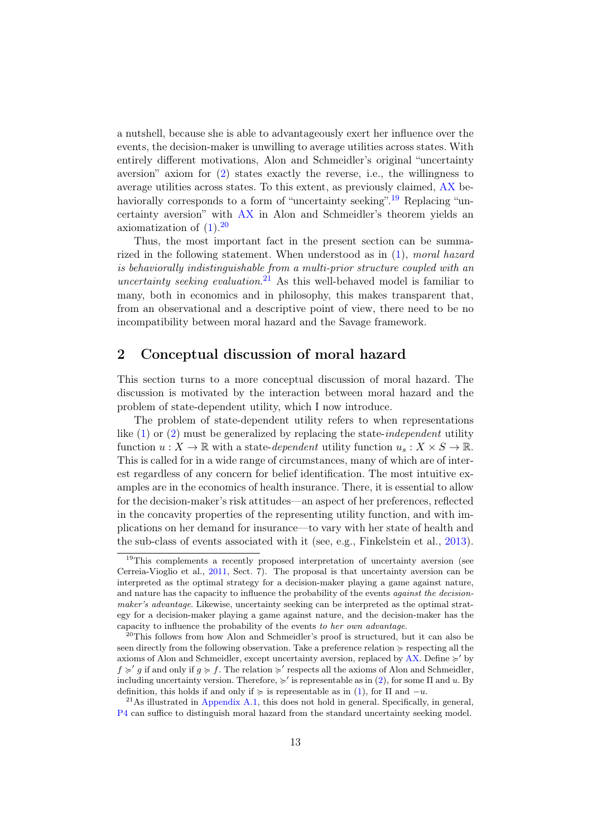a nutshell, because she is able to advantageously exert her influence over the events, the decision-maker is unwilling to average utilities across states. With entirely different motivations, Alon and Schmeidler's original "uncertainty aversion" axiom for [\(2\)](#page-8-5) states exactly the reverse, i.e., the willingness to average utilities across states. To this extent, as previously claimed, [AX](#page-12-1) be-haviorally corresponds to a form of "uncertainty seeking".<sup>[19](#page-13-0)</sup> Replacing "uncertainty aversion" with [AX](#page-12-1) in Alon and Schmeidler's theorem yields an axiomatization of  $(1).^{20}$  $(1).^{20}$  $(1).^{20}$  $(1).^{20}$ 

Thus, the most important fact in the present section can be summarized in the following statement. When understood as in [\(1\)](#page-7-1), moral hazard is behaviorally indistinguishable from a multi-prior structure coupled with an uncertainty seeking evaluation.<sup>[21](#page-13-2)</sup> As this well-behaved model is familiar to many, both in economics and in philosophy, this makes transparent that, from an observational and a descriptive point of view, there need to be no incompatibility between moral hazard and the Savage framework.

## 2 Conceptual discussion of moral hazard

This section turns to a more conceptual discussion of moral hazard. The discussion is motivated by the interaction between moral hazard and the problem of state-dependent utility, which I now introduce.

The problem of state-dependent utility refers to when representations like [\(1\)](#page-7-1) or [\(2\)](#page-8-5) must be generalized by replacing the state-independent utility function  $u: X \to \mathbb{R}$  with a state-dependent utility function  $u_s: X \times S \to \mathbb{R}$ . This is called for in a wide range of circumstances, many of which are of interest regardless of any concern for belief identification. The most intuitive examples are in the economics of health insurance. There, it is essential to allow for the decision-maker's risk attitudes—an aspect of her preferences, reflected in the concavity properties of the representing utility function, and with implications on her demand for insurance—to vary with her state of health and the sub-class of events associated with it (see, e.g., Finkelstein et al., [2013\)](#page-22-9).

<span id="page-13-0"></span><sup>&</sup>lt;sup>19</sup>This complements a recently proposed interpretation of uncertainty aversion (see Cerreia-Vioglio et al., [2011,](#page-21-10) Sect. 7). The proposal is that uncertainty aversion can be interpreted as the optimal strategy for a decision-maker playing a game against nature, and nature has the capacity to influence the probability of the events against the decisionmaker's advantage. Likewise, uncertainty seeking can be interpreted as the optimal strategy for a decision-maker playing a game against nature, and the decision-maker has the capacity to influence the probability of the events to her own advantage.

<span id="page-13-1"></span><sup>&</sup>lt;sup>20</sup>This follows from how Alon and Schmeidler's proof is structured, but it can also be seen directly from the following observation. Take a preference relation  $\succeq$  respecting all the axioms of Alon and Schmeidler, except uncertainty aversion, replaced by [AX.](#page-12-1) Define  $\succ$  by  $f \succ g$  if and only if  $g \succ f$ . The relation  $\succ'$  respects all the axioms of Alon and Schmeidler, including uncertainty version. Therefore,  $\succ$  is representable as in [\(2\)](#page-8-5), for some  $\Pi$  and u. By definition, this holds if and only if  $\succeq$  is representable as in [\(1\)](#page-7-1), for  $\Pi$  and  $-u$ .

<span id="page-13-2"></span> $^{21}$ As illustrated in [Appendix A.1,](#page-19-0) this does not hold in general. Specifically, in general, [P4](#page-8-0) can suffice to distinguish moral hazard from the standard uncertainty seeking model.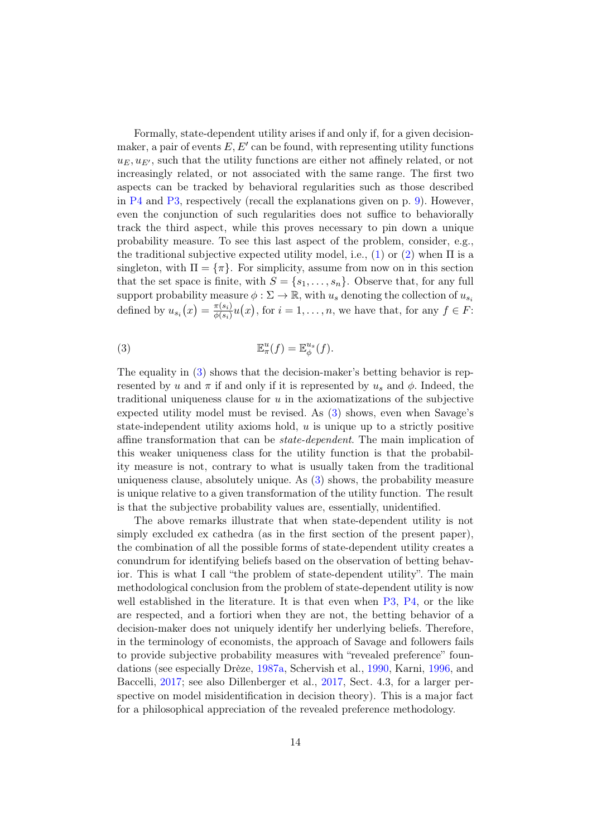Formally, state-dependent utility arises if and only if, for a given decisionmaker, a pair of events  $E, E'$  can be found, with representing utility functions  $u_E, u_{E'}$ , such that the utility functions are either not affinely related, or not increasingly related, or not associated with the same range. The first two aspects can be tracked by behavioral regularities such as those described in [P4](#page-8-0) and [P3,](#page-8-2) respectively (recall the explanations given on p. [9\)](#page-9-2). However, even the conjunction of such regularities does not suffice to behaviorally track the third aspect, while this proves necessary to pin down a unique probability measure. To see this last aspect of the problem, consider, e.g., the traditional subjective expected utility model, i.e., [\(1\)](#page-7-1) or [\(2\)](#page-8-5) when  $\Pi$  is a singleton, with  $\Pi = \{\pi\}$ . For simplicity, assume from now on in this section that the set space is finite, with  $S = \{s_1, \ldots, s_n\}$ . Observe that, for any full support probability measure  $\phi : \Sigma \to \mathbb{R}$ , with  $u_s$  denoting the collection of  $u_{s_i}$ defined by  $u_{s_i}(x) = \frac{\pi(s_i)}{\phi(s_i)}$  $\frac{\pi(s_i)}{\phi(s_i)}u(x)$ , for  $i=1,\ldots,n$ , we have that, for any  $f \in F$ :

<span id="page-14-0"></span>(3) 
$$
\mathbb{E}^u_\pi(f) = \mathbb{E}^u_\phi(f).
$$

The equality in [\(3\)](#page-14-0) shows that the decision-maker's betting behavior is represented by u and  $\pi$  if and only if it is represented by  $u_s$  and  $\phi$ . Indeed, the traditional uniqueness clause for  $u$  in the axiomatizations of the subjective expected utility model must be revised. As [\(3\)](#page-14-0) shows, even when Savage's state-independent utility axioms hold,  $u$  is unique up to a strictly positive affine transformation that can be state-dependent. The main implication of this weaker uniqueness class for the utility function is that the probability measure is not, contrary to what is usually taken from the traditional uniqueness clause, absolutely unique. As [\(3\)](#page-14-0) shows, the probability measure is unique relative to a given transformation of the utility function. The result is that the subjective probability values are, essentially, unidentified.

The above remarks illustrate that when state-dependent utility is not simply excluded ex cathedra (as in the first section of the present paper), the combination of all the possible forms of state-dependent utility creates a conundrum for identifying beliefs based on the observation of betting behavior. This is what I call "the problem of state-dependent utility". The main methodological conclusion from the problem of state-dependent utility is now well established in the literature. It is that even when [P3,](#page-8-2) [P4,](#page-8-0) or the like are respected, and a fortiori when they are not, the betting behavior of a decision-maker does not uniquely identify her underlying beliefs. Therefore, in the terminology of economists, the approach of Savage and followers fails to provide subjective probability measures with "revealed preference" foundations (see especially Drèze, [1987a,](#page-21-1) Schervish et al., [1990,](#page-23-6) Karni, [1996,](#page-22-7) and Baccelli, [2017;](#page-21-11) see also Dillenberger et al., [2017,](#page-21-12) Sect. 4.3, for a larger perspective on model misidentification in decision theory). This is a major fact for a philosophical appreciation of the revealed preference methodology.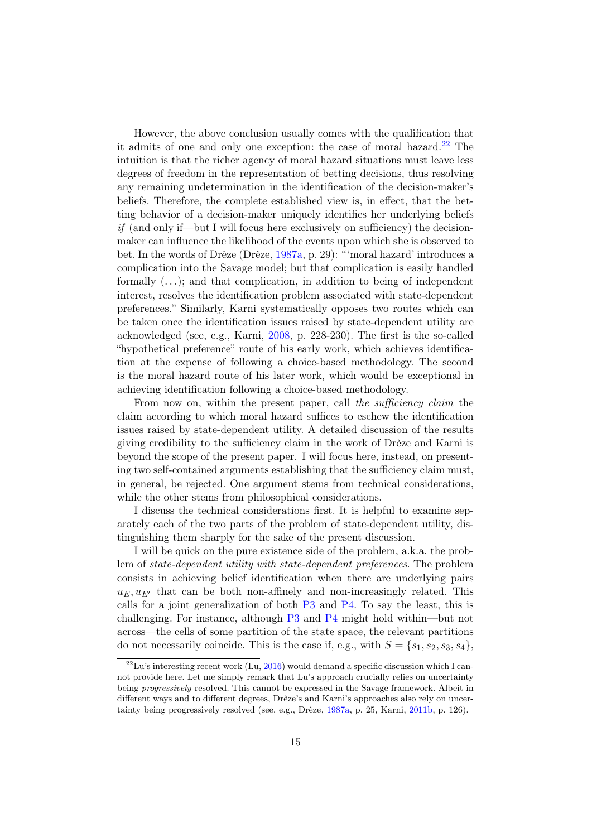However, the above conclusion usually comes with the qualification that it admits of one and only one exception: the case of moral hazard. $22$  The intuition is that the richer agency of moral hazard situations must leave less degrees of freedom in the representation of betting decisions, thus resolving any remaining undetermination in the identification of the decision-maker's beliefs. Therefore, the complete established view is, in effect, that the betting behavior of a decision-maker uniquely identifies her underlying beliefs  $if$  (and only if—but I will focus here exclusively on sufficiency) the decisionmaker can influence the likelihood of the events upon which she is observed to bet. In the words of Drèze (Drèze, [1987a,](#page-21-1) p. 29): "'moral hazard' introduces a complication into the Savage model; but that complication is easily handled formally  $(\ldots)$ ; and that complication, in addition to being of independent interest, resolves the identification problem associated with state-dependent preferences." Similarly, Karni systematically opposes two routes which can be taken once the identification issues raised by state-dependent utility are acknowledged (see, e.g., Karni, [2008,](#page-23-7) p. 228-230). The first is the so-called "hypothetical preference" route of his early work, which achieves identification at the expense of following a choice-based methodology. The second is the moral hazard route of his later work, which would be exceptional in achieving identification following a choice-based methodology.

From now on, within the present paper, call the sufficiency claim the claim according to which moral hazard suffices to eschew the identification issues raised by state-dependent utility. A detailed discussion of the results giving credibility to the sufficiency claim in the work of Drèze and Karni is beyond the scope of the present paper. I will focus here, instead, on presenting two self-contained arguments establishing that the sufficiency claim must, in general, be rejected. One argument stems from technical considerations, while the other stems from philosophical considerations.

I discuss the technical considerations first. It is helpful to examine separately each of the two parts of the problem of state-dependent utility, distinguishing them sharply for the sake of the present discussion.

I will be quick on the pure existence side of the problem, a.k.a. the problem of state-dependent utility with state-dependent preferences. The problem consists in achieving belief identification when there are underlying pairs  $u_E, u_{E'}$  that can be both non-affinely and non-increasingly related. This calls for a joint generalization of both [P3](#page-8-2) and [P4.](#page-8-0) To say the least, this is challenging. For instance, although [P3](#page-8-2) and [P4](#page-8-0) might hold within—but not across—the cells of some partition of the state space, the relevant partitions do not necessarily coincide. This is the case if, e.g., with  $S = \{s_1, s_2, s_3, s_4\}$ ,

<span id="page-15-0"></span> $^{22}$ Lu's interesting recent work (Lu, [2016\)](#page-23-9) would demand a specific discussion which I cannot provide here. Let me simply remark that Lu's approach crucially relies on uncertainty being progressively resolved. This cannot be expressed in the Savage framework. Albeit in different ways and to different degrees, Drèze's and Karni's approaches also rely on uncertainty being progressively resolved (see, e.g., Drèze, [1987a,](#page-21-1) p. 25, Karni, [2011b,](#page-23-3) p. 126).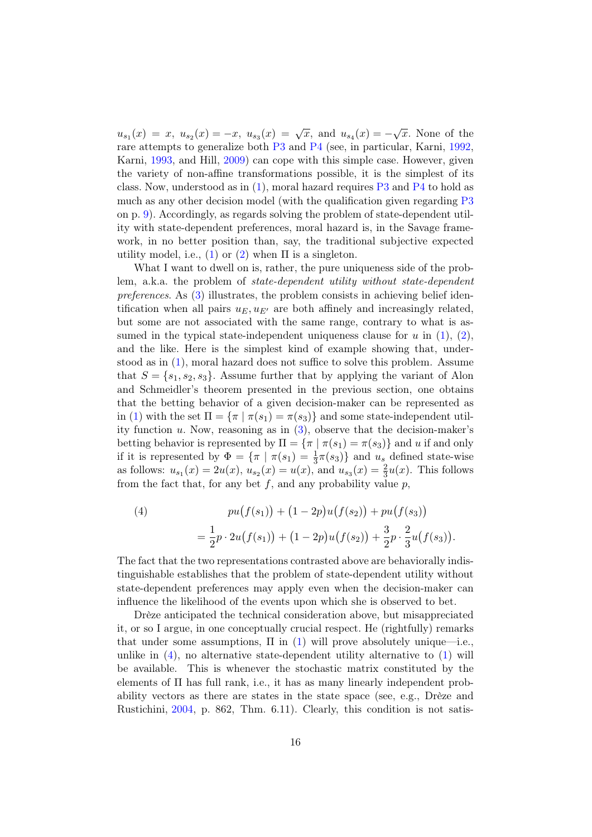$u_{s_1}(x) = x, u_{s_2}(x) = -x, u_{s_3}(x) = \sqrt{x}, \text{ and } u_{s_4}(x) = -\sqrt{x}.$  None of the rare attempts to generalize both [P3](#page-8-2) and [P4](#page-8-0) (see, in particular, Karni, [1992,](#page-22-10) Karni, [1993,](#page-22-11) and Hill, [2009\)](#page-22-12) can cope with this simple case. However, given the variety of non-affine transformations possible, it is the simplest of its class. Now, understood as in  $(1)$ , moral hazard requires  $P3$  and  $P4$  to hold as much as any other decision model (with the qualification given regarding  $P3$ on p. [9\)](#page-9-3). Accordingly, as regards solving the problem of state-dependent utility with state-dependent preferences, moral hazard is, in the Savage framework, in no better position than, say, the traditional subjective expected utility model, i.e., [\(1\)](#page-7-1) or [\(2\)](#page-8-5) when  $\Pi$  is a singleton.

What I want to dwell on is, rather, the pure uniqueness side of the problem, a.k.a. the problem of state-dependent utility without state-dependent preferences. As [\(3\)](#page-14-0) illustrates, the problem consists in achieving belief identification when all pairs  $u_F, u_{F'}$  are both affinely and increasingly related, but some are not associated with the same range, contrary to what is assumed in the typical state-independent uniqueness clause for u in  $(1), (2),$  $(1), (2),$  $(1), (2),$  $(1), (2),$ and the like. Here is the simplest kind of example showing that, understood as in [\(1\)](#page-7-1), moral hazard does not suffice to solve this problem. Assume that  $S = \{s_1, s_2, s_3\}$ . Assume further that by applying the variant of Alon and Schmeidler's theorem presented in the previous section, one obtains that the betting behavior of a given decision-maker can be represented as in [\(1\)](#page-7-1) with the set  $\Pi = {\pi | \pi(s_1) = \pi(s_3)}$  and some state-independent utility function  $u$ . Now, reasoning as in  $(3)$ , observe that the decision-maker's betting behavior is represented by  $\Pi = {\pi | \pi(s_1) = \pi(s_3)}$  and u if and only if it is represented by  $\Phi = {\pi \mid \pi(s_1) = \frac{1}{3}\pi(s_3)}$  and  $u_s$  defined state-wise as follows:  $u_{s_1}(x) = 2u(x), u_{s_2}(x) = u(x),$  and  $u_{s_3}(x) = \frac{2}{3}u(x)$ . This follows from the fact that, for any bet  $f$ , and any probability value  $p$ ,

<span id="page-16-0"></span>(4) 
$$
pu(f(s_1)) + (1 - 2p)u(f(s_2)) + pu(f(s_3))
$$

$$
= \frac{1}{2}p \cdot 2u(f(s_1)) + (1 - 2p)u(f(s_2)) + \frac{3}{2}p \cdot \frac{2}{3}u(f(s_3)).
$$

The fact that the two representations contrasted above are behaviorally indistinguishable establishes that the problem of state-dependent utility without state-dependent preferences may apply even when the decision-maker can influence the likelihood of the events upon which she is observed to bet.

Drèze anticipated the technical consideration above, but misappreciated it, or so I argue, in one conceptually crucial respect. He (rightfully) remarks that under some assumptions,  $\Pi$  in [\(1\)](#page-7-1) will prove absolutely unique—i.e., unlike in  $(4)$ , no alternative state-dependent utility alternative to  $(1)$  will be available. This is whenever the stochastic matrix constituted by the elements of Π has full rank, i.e., it has as many linearly independent probability vectors as there are states in the state space (see, e.g., Drèze and Rustichini, [2004,](#page-21-4) p. 862, Thm. 6.11). Clearly, this condition is not satis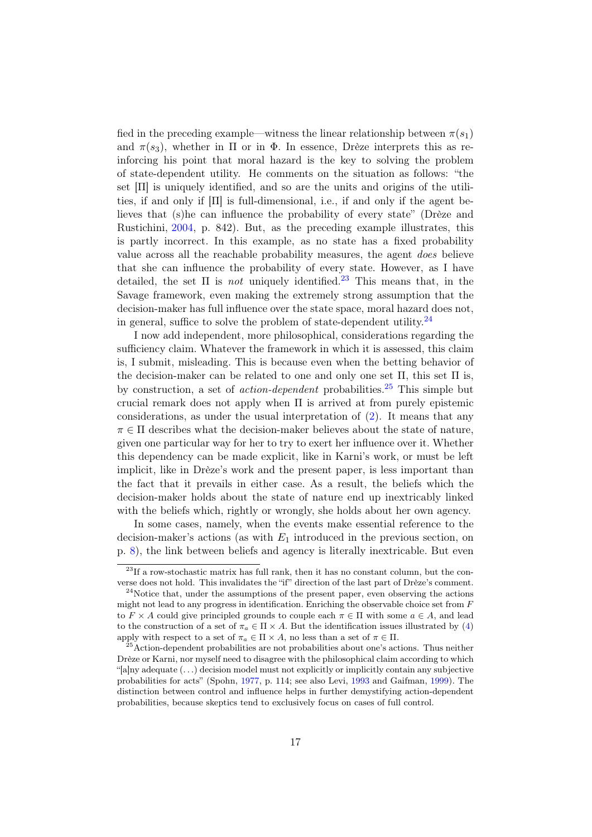fied in the preceding example—witness the linear relationship between  $\pi(s_1)$ and  $\pi(s_3)$ , whether in  $\Pi$  or in  $\Phi$ . In essence, Drèze interprets this as reinforcing his point that moral hazard is the key to solving the problem of state-dependent utility. He comments on the situation as follows: "the set  $[\Pi]$  is uniquely identified, and so are the units and origins of the utilities, if and only if  $[\Pi]$  is full-dimensional, i.e., if and only if the agent believes that (s)he can influence the probability of every state" (Drèze and Rustichini, [2004,](#page-21-4) p. 842). But, as the preceding example illustrates, this is partly incorrect. In this example, as no state has a fixed probability value across all the reachable probability measures, the agent does believe that she can influence the probability of every state. However, as I have detailed, the set  $\Pi$  is *not* uniquely identified.<sup>[23](#page-17-0)</sup> This means that, in the Savage framework, even making the extremely strong assumption that the decision-maker has full influence over the state space, moral hazard does not, in general, suffice to solve the problem of state-dependent utility.  $^{24}$  $^{24}$  $^{24}$ 

I now add independent, more philosophical, considerations regarding the sufficiency claim. Whatever the framework in which it is assessed, this claim is, I submit, misleading. This is because even when the betting behavior of the decision-maker can be related to one and only one set  $\Pi$ , this set  $\Pi$  is, by construction, a set of *action-dependent* probabilities.<sup>[25](#page-17-2)</sup> This simple but crucial remark does not apply when Π is arrived at from purely epistemic considerations, as under the usual interpretation of [\(2\)](#page-8-5). It means that any  $\pi \in \Pi$  describes what the decision-maker believes about the state of nature, given one particular way for her to try to exert her influence over it. Whether this dependency can be made explicit, like in Karni's work, or must be left implicit, like in Drèze's work and the present paper, is less important than the fact that it prevails in either case. As a result, the beliefs which the decision-maker holds about the state of nature end up inextricably linked with the beliefs which, rightly or wrongly, she holds about her own agency.

In some cases, namely, when the events make essential reference to the decision-maker's actions (as with  $E_1$  introduced in the previous section, on p. [8\)](#page-9-1), the link between beliefs and agency is literally inextricable. But even

<span id="page-17-0"></span><sup>&</sup>lt;sup>23</sup>If a row-stochastic matrix has full rank, then it has no constant column, but the converse does not hold. This invalidates the "if" direction of the last part of Drèze's comment.

<span id="page-17-1"></span> $24$ Notice that, under the assumptions of the present paper, even observing the actions might not lead to any progress in identification. Enriching the observable choice set from F to  $F \times A$  could give principled grounds to couple each  $\pi \in \Pi$  with some  $a \in A$ , and lead to the construction of a set of  $\pi_a \in \Pi \times A$ . But the identification issues illustrated by [\(4\)](#page-16-0) apply with respect to a set of  $\pi_a \in \Pi \times A$ , no less than a set of  $\pi \in \Pi$ .

<span id="page-17-2"></span><sup>&</sup>lt;sup>5</sup>Action-dependent probabilities are not probabilities about one's actions. Thus neither Drèze or Karni, nor myself need to disagree with the philosophical claim according to which "[a]ny adequate  $(\ldots)$  decision model must not explicitly or implicitly contain any subjective probabilities for acts" (Spohn, [1977,](#page-23-10) p. 114; see also Levi, [1993](#page-23-11) and Gaifman, [1999\)](#page-22-13). The distinction between control and influence helps in further demystifying action-dependent probabilities, because skeptics tend to exclusively focus on cases of full control.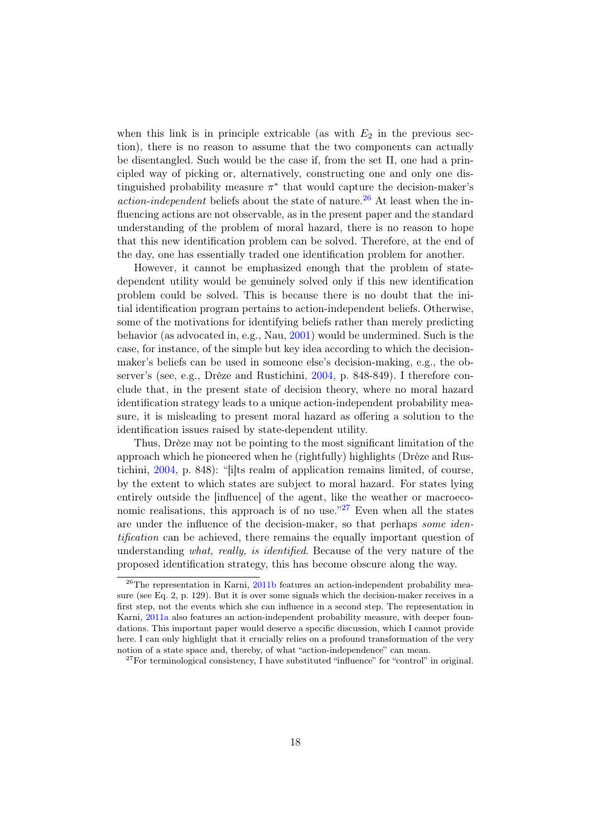when this link is in principle extricable (as with  $E_2$  in the previous section), there is no reason to assume that the two components can actually be disentangled. Such would be the case if, from the set  $\Pi$ , one had a principled way of picking or, alternatively, constructing one and only one distinguished probability measure  $\pi^*$  that would capture the decision-maker's *action-independent* beliefs about the state of nature.<sup>[26](#page-18-0)</sup> At least when the influencing actions are not observable, as in the present paper and the standard understanding of the problem of moral hazard, there is no reason to hope that this new identification problem can be solved. Therefore, at the end of the day, one has essentially traded one identification problem for another.

However, it cannot be emphasized enough that the problem of statedependent utility would be genuinely solved only if this new identification problem could be solved. This is because there is no doubt that the initial identification program pertains to action-independent beliefs. Otherwise, some of the motivations for identifying beliefs rather than merely predicting behavior (as advocated in, e.g., Nau, [2001\)](#page-23-12) would be undermined. Such is the case, for instance, of the simple but key idea according to which the decisionmaker's beliefs can be used in someone else's decision-making, e.g., the observer's (see, e.g., Drèze and Rustichini, [2004,](#page-21-4) p. 848-849). I therefore conclude that, in the present state of decision theory, where no moral hazard identification strategy leads to a unique action-independent probability measure, it is misleading to present moral hazard as offering a solution to the identification issues raised by state-dependent utility.

Thus, Drèze may not be pointing to the most significant limitation of the approach which he pioneered when he (rightfully) highlights (Drèze and Rustichini, [2004,](#page-21-4) p. 848): "[i]ts realm of application remains limited, of course, by the extent to which states are subject to moral hazard. For states lying entirely outside the [influence] of the agent, like the weather or macroeconomic realisations, this approach is of no use. $127$  $127$  Even when all the states are under the influence of the decision-maker, so that perhaps some identification can be achieved, there remains the equally important question of understanding what, really, is identified. Because of the very nature of the proposed identification strategy, this has become obscure along the way.

<span id="page-18-0"></span><sup>&</sup>lt;sup>26</sup>The representation in Karni, [2011b](#page-23-3) features an action-independent probability measure (see Eq. 2, p. 129). But it is over some signals which the decision-maker receives in a first step, not the events which she can influence in a second step. The representation in Karni, [2011a](#page-23-2) also features an action-independent probability measure, with deeper foundations. This important paper would deserve a specific discussion, which I cannot provide here. I can only highlight that it crucially relies on a profound transformation of the very notion of a state space and, thereby, of what "action-independence" can mean.

<span id="page-18-1"></span> $27\,\text{For terminologyical consistency, I have substituted "influence" for "control" in original.}$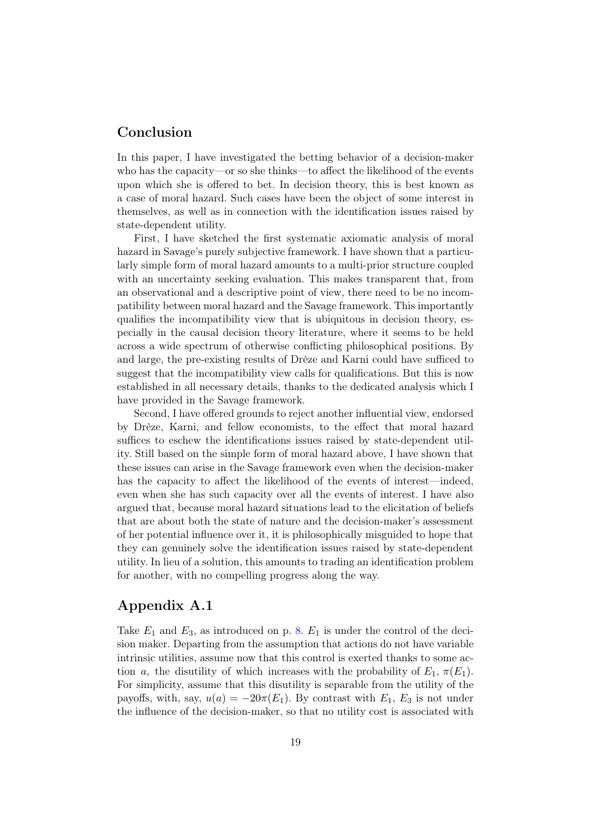### Conclusion

In this paper, I have investigated the betting behavior of a decision-maker who has the capacity—or so she thinks—to affect the likelihood of the events upon which she is offered to bet. In decision theory, this is best known as a case of moral hazard. Such cases have been the object of some interest in themselves, as well as in connection with the identification issues raised by state-dependent utility.

First, I have sketched the first systematic axiomatic analysis of moral hazard in Savage's purely subjective framework. I have shown that a particularly simple form of moral hazard amounts to a multi-prior structure coupled with an uncertainty seeking evaluation. This makes transparent that, from an observational and a descriptive point of view, there need to be no incompatibility between moral hazard and the Savage framework. This importantly qualifies the incompatibility view that is ubiquitous in decision theory, especially in the causal decision theory literature, where it seems to be held across a wide spectrum of otherwise conflicting philosophical positions. By and large, the pre-existing results of Drèze and Karni could have sufficed to suggest that the incompatibility view calls for qualifications. But this is now established in all necessary details, thanks to the dedicated analysis which I have provided in the Savage framework.

Second, I have offered grounds to reject another influential view, endorsed by Drèze, Karni, and fellow economists, to the effect that moral hazard suffices to eschew the identifications issues raised by state-dependent utility. Still based on the simple form of moral hazard above, I have shown that these issues can arise in the Savage framework even when the decision-maker has the capacity to affect the likelihood of the events of interest—indeed, even when she has such capacity over all the events of interest. I have also argued that, because moral hazard situations lead to the elicitation of beliefs that are about both the state of nature and the decision-maker's assessment of her potential influence over it, it is philosophically misguided to hope that they can genuinely solve the identification issues raised by state-dependent utility. In lieu of a solution, this amounts to trading an identification problem for another, with no compelling progress along the way.

## <span id="page-19-0"></span>Appendix A.1

Take  $E_1$  and  $E_3$ , as introduced on p. [8.](#page-9-1)  $E_1$  is under the control of the decision maker. Departing from the assumption that actions do not have variable intrinsic utilities, assume now that this control is exerted thanks to some action a, the disutility of which increases with the probability of  $E_1$ ,  $\pi(E_1)$ . For simplicity, assume that this disutility is separable from the utility of the payoffs, with, say,  $u(a) = -20\pi(E_1)$ . By contrast with  $E_1, E_3$  is not under the influence of the decision-maker, so that no utility cost is associated with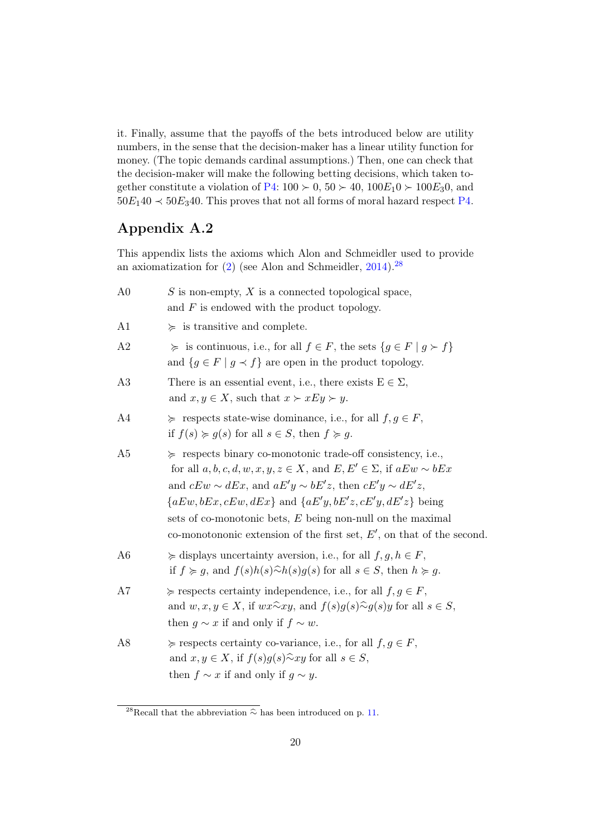it. Finally, assume that the payoffs of the bets introduced below are utility numbers, in the sense that the decision-maker has a linear utility function for money. (The topic demands cardinal assumptions.) Then, one can check that the decision-maker will make the following betting decisions, which taken to-gether constitute a violation of [P4:](#page-8-0)  $100 \succ 0$ ,  $50 \succ 40$ ,  $100E_10 \succ 100E_30$ , and  $50E_140 \prec 50E_340$ . This proves that not all forms of moral hazard respect [P4.](#page-8-0)

## <span id="page-20-1"></span>Appendix A.2

This appendix lists the axioms which Alon and Schmeidler used to provide an axiomatization for  $(2)$  (see Alon and Schmeidler, [2014\)](#page-21-6).<sup>[28](#page-20-2)</sup>

<span id="page-20-0"></span>

| A <sub>0</sub> | S is non-empty, $X$ is a connected topological space,<br>and $F$ is endowed with the product topology.                                                                                                                                                                                                                                                                                                                                     |
|----------------|--------------------------------------------------------------------------------------------------------------------------------------------------------------------------------------------------------------------------------------------------------------------------------------------------------------------------------------------------------------------------------------------------------------------------------------------|
| A <sub>1</sub> | $\succeq$ is transitive and complete.                                                                                                                                                                                                                                                                                                                                                                                                      |
| A <sub>2</sub> | $\succcurlyeq$ is continuous, i.e., for all $f \in F$ , the sets $\{g \in F \mid g \succ f\}$<br>and $\{g \in F \mid g \prec f\}$ are open in the product topology.                                                                                                                                                                                                                                                                        |
| A3             | There is an essential event, i.e., there exists $E \in \Sigma$ ,<br>and $x, y \in X$ , such that $x \succ xEy \succ y$ .                                                                                                                                                                                                                                                                                                                   |
| A4             | $\succeq$ respects state-wise dominance, i.e., for all $f, g \in F$ ,<br>if $f(s) \ge g(s)$ for all $s \in S$ , then $f \ge g$ .                                                                                                                                                                                                                                                                                                           |
| A <sub>5</sub> | $\succeq$ respects binary co-monotonic trade-off consistency, i.e.,<br>for all $a, b, c, d, w, x, y, z \in X$ , and $E, E' \in \Sigma$ , if $aEw \sim bEx$<br>and $cEw \sim dEx$ , and $aE'y \sim bE'z$ , then $cE'y \sim dE'z$ ,<br>${aEw,bEx, cEw, dEx}$ and ${aE'y,bE'z, cE'y, dE'z}$ being<br>sets of co-monotonic bets, $E$ being non-null on the maximal<br>co-monotononic extension of the first set, $E'$ , on that of the second. |
| A <sub>6</sub> | $\succcurlyeq$ displays uncertainty aversion, i.e., for all $f, g, h \in F$ ,<br>if $f \succcurlyeq g$ , and $f(s)h(s)\widehat{\sim}h(s)g(s)$ for all $s \in S$ , then $h \succcurlyeq g$ .                                                                                                                                                                                                                                                |
| A7             | $\succcurlyeq$ respects certainty independence, i.e., for all $f, g \in F$ ,<br>and $w, x, y \in X$ , if $wx \widehat{\sim} xy$ , and $f(s)g(s) \widehat{\sim} g(s)y$ for all $s \in S$ ,<br>then $g \sim x$ if and only if $f \sim w$ .                                                                                                                                                                                                   |
| A8             | $\succcurlyeq$ respects certainty co-variance, i.e., for all $f, g \in F$ ,<br>and $x, y \in X$ , if $f(s)g(s)$ $\widehat{\sim} xy$ for all $s \in S$ ,<br>then $f \sim x$ if and only if $g \sim y$ .                                                                                                                                                                                                                                     |

<span id="page-20-2"></span><sup>&</sup>lt;sup>28</sup>Recall that the abbreviation  $\widehat{\sim}$  has been introduced on p. [11.](#page-11-1)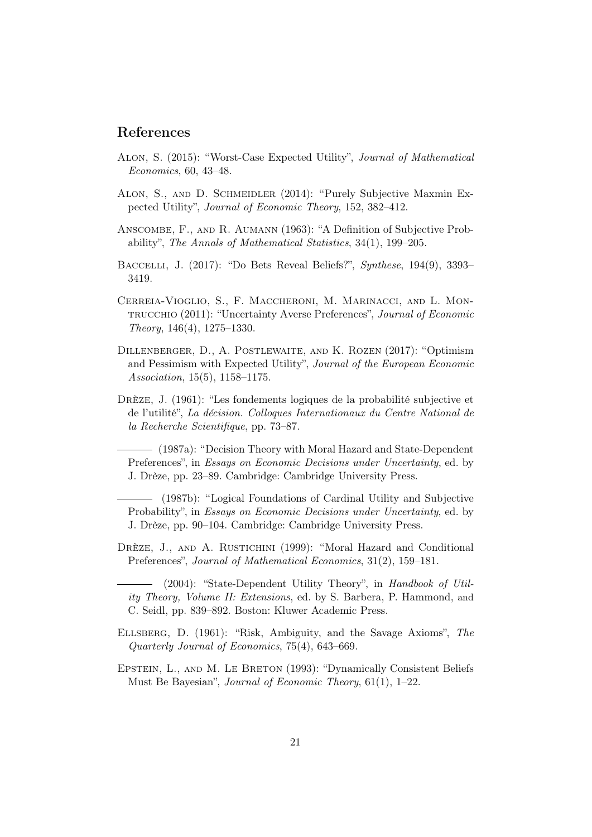#### References

- <span id="page-21-9"></span>Alon, S. (2015): "Worst-Case Expected Utility", Journal of Mathematical Economics, 60, 43–48.
- <span id="page-21-6"></span>Alon, S., and D. Schmeidler (2014): "Purely Subjective Maxmin Expected Utility", Journal of Economic Theory, 152, 382–412.
- <span id="page-21-5"></span>Anscombe, F., and R. Aumann (1963): "A Definition of Subjective Probability", The Annals of Mathematical Statistics, 34(1), 199–205.
- <span id="page-21-11"></span>Baccelli, J. (2017): "Do Bets Reveal Beliefs?", Synthese, 194(9), 3393– 3419.
- <span id="page-21-10"></span>Cerreia-Vioglio, S., F. Maccheroni, M. Marinacci, and L. Montrucchio (2011): "Uncertainty Averse Preferences", Journal of Economic Theory, 146(4), 1275–1330.
- <span id="page-21-12"></span>Dillenberger, D., A. Postlewaite, and K. Rozen (2017): "Optimism and Pessimism with Expected Utility", Journal of the European Economic Association, 15(5), 1158–1175.
- <span id="page-21-2"></span>Drèze, J. (1961): "Les fondements logiques de la probabilité subjective et de l'utilité", La décision. Colloques Internationaux du Centre National de la Recherche Scientifique, pp. 73–87.

<span id="page-21-1"></span>(1987a): "Decision Theory with Moral Hazard and State-Dependent Preferences", in Essays on Economic Decisions under Uncertainty, ed. by J. Drèze, pp. 23–89. Cambridge: Cambridge University Press.

<span id="page-21-3"></span>(1987b): "Logical Foundations of Cardinal Utility and Subjective Probability", in Essays on Economic Decisions under Uncertainty, ed. by J. Drèze, pp. 90–104. Cambridge: Cambridge University Press.

<span id="page-21-0"></span>DRÈZE, J., AND A. RUSTICHINI (1999): "Moral Hazard and Conditional Preferences", Journal of Mathematical Economics, 31(2), 159–181.

<span id="page-21-4"></span>(2004): "State-Dependent Utility Theory", in Handbook of Utility Theory, Volume II: Extensions, ed. by S. Barbera, P. Hammond, and C. Seidl, pp. 839–892. Boston: Kluwer Academic Press.

- <span id="page-21-7"></span>Ellsberg, D. (1961): "Risk, Ambiguity, and the Savage Axioms", The Quarterly Journal of Economics, 75(4), 643–669.
- <span id="page-21-8"></span>EPSTEIN, L., AND M. LE BRETON (1993): "Dynamically Consistent Beliefs Must Be Bayesian", Journal of Economic Theory, 61(1), 1–22.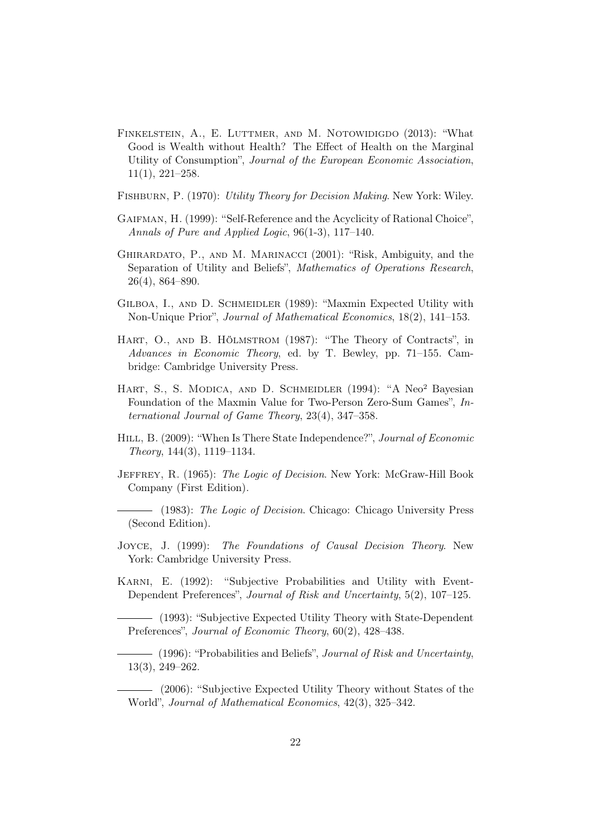- <span id="page-22-9"></span>Finkelstein, A., E. Luttmer, and M. Notowidigdo (2013): "What Good is Wealth without Health? The Effect of Health on the Marginal Utility of Consumption", Journal of the European Economic Association, 11(1), 221–258.
- <span id="page-22-8"></span>Fishburn, P. (1970): Utility Theory for Decision Making. New York: Wiley.
- <span id="page-22-13"></span>Gaifman, H. (1999): "Self-Reference and the Acyclicity of Rational Choice", Annals of Pure and Applied Logic, 96(1-3), 117–140.
- <span id="page-22-0"></span>Ghirardato, P., and M. Marinacci (2001): "Risk, Ambiguity, and the Separation of Utility and Beliefs", Mathematics of Operations Research, 26(4), 864–890.
- <span id="page-22-6"></span>Gilboa, I., and D. Schmeidler (1989): "Maxmin Expected Utility with Non-Unique Prior", Journal of Mathematical Economics, 18(2), 141–153.
- <span id="page-22-1"></span>HART, O., AND B. HÖLMSTROM (1987): "The Theory of Contracts", in Advances in Economic Theory, ed. by T. Bewley, pp. 71–155. Cambridge: Cambridge University Press.
- HART, S., S. MODICA, AND D. SCHMEIDLER (1994): "A Neo<sup>2</sup> Bayesian Foundation of the Maxmin Value for Two-Person Zero-Sum Games", International Journal of Game Theory, 23(4), 347–358.
- <span id="page-22-12"></span>HILL, B. (2009): "When Is There State Independence?", Journal of Economic Theory, 144(3), 1119–1134.
- <span id="page-22-4"></span>JEFFREY, R. (1965): The Logic of Decision. New York: McGraw-Hill Book Company (First Edition).

<span id="page-22-5"></span>(1983): The Logic of Decision. Chicago: Chicago University Press (Second Edition).

- <span id="page-22-3"></span>Joyce, J. (1999): The Foundations of Causal Decision Theory. New York: Cambridge University Press.
- <span id="page-22-10"></span>KARNI, E. (1992): "Subjective Probabilities and Utility with Event-Dependent Preferences", Journal of Risk and Uncertainty, 5(2), 107–125.

<span id="page-22-11"></span>(1993): "Subjective Expected Utility Theory with State-Dependent Preferences", Journal of Economic Theory, 60(2), 428-438.

<span id="page-22-7"></span> $-$  (1996): "Probabilities and Beliefs", *Journal of Risk and Uncertainty*, 13(3), 249–262.

<span id="page-22-2"></span>(2006): "Subjective Expected Utility Theory without States of the World", Journal of Mathematical Economics, 42(3), 325–342.